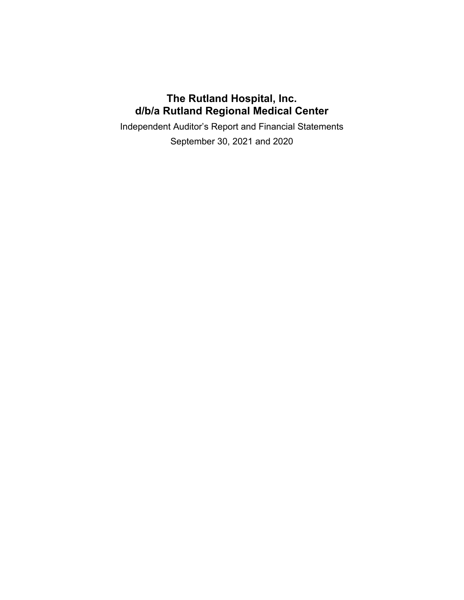# **The Rutland Hospital, Inc. d/b/a Rutland Regional Medical Center**

Independent Auditor's Report and Financial Statements

September 30, 2021 and 2020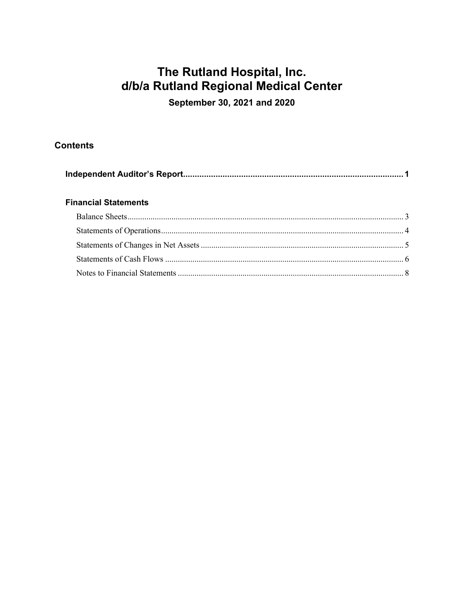# The Rutland Hospital, Inc. d/b/a Rutland Regional Medical Center

September 30, 2021 and 2020

# **Contents**

|--|

# **Financial Statements**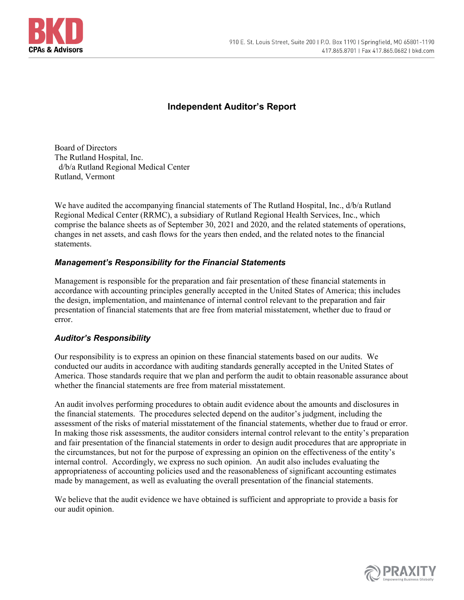

# **Independent Auditor's Report**

Board of Directors The Rutland Hospital, Inc. d/b/a Rutland Regional Medical Center Rutland, Vermont

We have audited the accompanying financial statements of The Rutland Hospital, Inc.,  $d/b/a$  Rutland Regional Medical Center (RRMC), a subsidiary of Rutland Regional Health Services, Inc., which comprise the balance sheets as of September 30, 2021 and 2020, and the related statements of operations, changes in net assets, and cash flows for the years then ended, and the related notes to the financial statements.

## *Management's Responsibility for the Financial Statements*

Management is responsible for the preparation and fair presentation of these financial statements in accordance with accounting principles generally accepted in the United States of America; this includes the design, implementation, and maintenance of internal control relevant to the preparation and fair presentation of financial statements that are free from material misstatement, whether due to fraud or error.

### *Auditor's Responsibility*

Our responsibility is to express an opinion on these financial statements based on our audits. We conducted our audits in accordance with auditing standards generally accepted in the United States of America. Those standards require that we plan and perform the audit to obtain reasonable assurance about whether the financial statements are free from material misstatement.

An audit involves performing procedures to obtain audit evidence about the amounts and disclosures in the financial statements. The procedures selected depend on the auditor's judgment, including the assessment of the risks of material misstatement of the financial statements, whether due to fraud or error. In making those risk assessments, the auditor considers internal control relevant to the entity's preparation and fair presentation of the financial statements in order to design audit procedures that are appropriate in the circumstances, but not for the purpose of expressing an opinion on the effectiveness of the entity's internal control. Accordingly, we express no such opinion. An audit also includes evaluating the appropriateness of accounting policies used and the reasonableness of significant accounting estimates made by management, as well as evaluating the overall presentation of the financial statements.

We believe that the audit evidence we have obtained is sufficient and appropriate to provide a basis for our audit opinion.

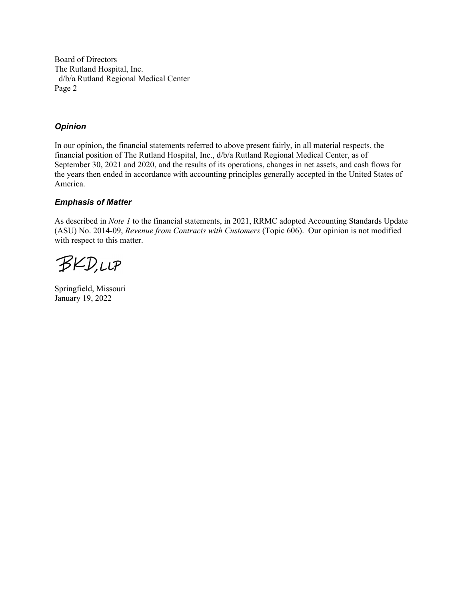Board of Directors The Rutland Hospital, Inc. d/b/a Rutland Regional Medical Center Page 2

### *Opinion*

In our opinion, the financial statements referred to above present fairly, in all material respects, the financial position of The Rutland Hospital, Inc., d/b/a Rutland Regional Medical Center, as of September 30, 2021 and 2020, and the results of its operations, changes in net assets, and cash flows for the years then ended in accordance with accounting principles generally accepted in the United States of America.

### *Emphasis of Matter*

As described in *Note 1* to the financial statements, in 2021, RRMC adopted Accounting Standards Update (ASU) No. 2014-09, *Revenue from Contracts with Customers* (Topic 606). Our opinion is not modified with respect to this matter.

**BKD,LLP** 

Springfield, Missouri January 19, 2022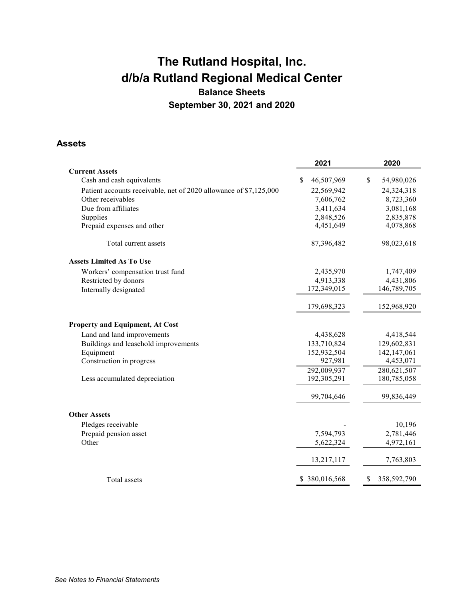# **The Rutland Hospital, Inc. d/b/a Rutland Regional Medical Center Balance Sheets September 30, 2021 and 2020**

## **Assets**

|                                                                   | 2021             | 2020                        |
|-------------------------------------------------------------------|------------------|-----------------------------|
| <b>Current Assets</b>                                             |                  |                             |
| Cash and cash equivalents                                         | 46,507,969<br>\$ | <sup>\$</sup><br>54,980,026 |
| Patient accounts receivable, net of 2020 allowance of \$7,125,000 | 22,569,942       | 24,324,318                  |
| Other receivables                                                 | 7,606,762        | 8,723,360                   |
| Due from affiliates                                               | 3,411,634        | 3,081,168                   |
| Supplies                                                          | 2,848,526        | 2,835,878                   |
| Prepaid expenses and other                                        | 4,451,649        | 4,078,868                   |
| Total current assets                                              | 87,396,482       | 98,023,618                  |
| <b>Assets Limited As To Use</b>                                   |                  |                             |
| Workers' compensation trust fund                                  | 2,435,970        | 1,747,409                   |
| Restricted by donors                                              | 4,913,338        | 4,431,806                   |
| Internally designated                                             | 172,349,015      | 146,789,705                 |
|                                                                   | 179,698,323      | 152,968,920                 |
| <b>Property and Equipment, At Cost</b>                            |                  |                             |
| Land and land improvements                                        | 4,438,628        | 4,418,544                   |
| Buildings and leasehold improvements                              | 133,710,824      | 129,602,831                 |
| Equipment                                                         | 152,932,504      | 142,147,061                 |
| Construction in progress                                          | 927,981          | 4,453,071                   |
|                                                                   | 292,009,937      | 280,621,507                 |
| Less accumulated depreciation                                     | 192,305,291      | 180,785,058                 |
|                                                                   | 99,704,646       | 99,836,449                  |
| <b>Other Assets</b>                                               |                  |                             |
| Pledges receivable                                                |                  | 10,196                      |
| Prepaid pension asset                                             | 7,594,793        | 2,781,446                   |
| Other                                                             | 5,622,324        | 4,972,161                   |
|                                                                   | 13,217,117       | 7,763,803                   |
| Total assets                                                      | \$380,016,568    | 358,592,790                 |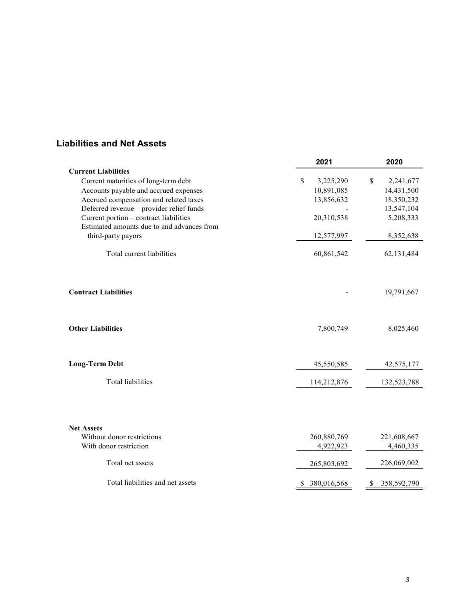# **Liabilities and Net Assets**

|                                            | 2021              | 2020              |
|--------------------------------------------|-------------------|-------------------|
| <b>Current Liabilities</b>                 |                   |                   |
| Current maturities of long-term debt       | \$<br>3,225,290   | \$<br>2,241,677   |
| Accounts payable and accrued expenses      | 10,891,085        | 14,431,500        |
| Accrued compensation and related taxes     | 13,856,632        | 18,350,232        |
| Deferred revenue - provider relief funds   |                   | 13,547,104        |
| Current portion - contract liabilities     | 20,310,538        | 5,208,333         |
| Estimated amounts due to and advances from |                   |                   |
| third-party payors                         | 12,577,997        | 8,352,638         |
| Total current liabilities                  | 60,861,542        | 62, 131, 484      |
|                                            |                   |                   |
| <b>Contract Liabilities</b>                |                   | 19,791,667        |
| <b>Other Liabilities</b>                   | 7,800,749         | 8,025,460         |
| <b>Long-Term Debt</b>                      | 45,550,585        | 42,575,177        |
| <b>Total liabilities</b>                   | 114,212,876       | 132,523,788       |
|                                            |                   |                   |
| <b>Net Assets</b>                          |                   |                   |
| Without donor restrictions                 | 260,880,769       | 221,608,667       |
| With donor restriction                     | 4,922,923         | 4,460,335         |
| Total net assets                           | 265,803,692       | 226,069,002       |
| Total liabilities and net assets           | 380,016,568<br>S. | 358,592,790<br>\$ |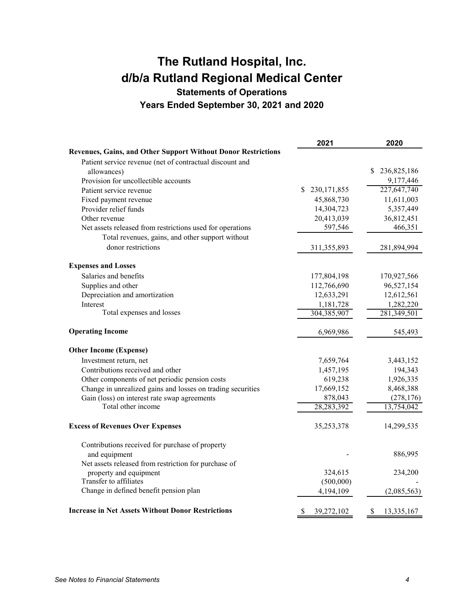# **The Rutland Hospital, Inc. d/b/a Rutland Regional Medical Center Statements of Operations**

**Years Ended September 30, 2021 and 2020** 

|                                                                      | 2021                | 2020              |
|----------------------------------------------------------------------|---------------------|-------------------|
| <b>Revenues, Gains, and Other Support Without Donor Restrictions</b> |                     |                   |
| Patient service revenue (net of contractual discount and             |                     |                   |
| allowances)                                                          |                     | 236,825,186<br>\$ |
| Provision for uncollectible accounts                                 |                     | 9,177,446         |
| Patient service revenue                                              | 230, 171, 855<br>\$ | 227,647,740       |
| Fixed payment revenue                                                | 45,868,730          | 11,611,003        |
| Provider relief funds                                                | 14,304,723          | 5,357,449         |
| Other revenue                                                        | 20,413,039          | 36,812,451        |
| Net assets released from restrictions used for operations            | 597,546             | 466,351           |
| Total revenues, gains, and other support without                     |                     |                   |
| donor restrictions                                                   | 311, 355, 893       | 281,894,994       |
| <b>Expenses and Losses</b>                                           |                     |                   |
| Salaries and benefits                                                | 177,804,198         | 170,927,566       |
| Supplies and other                                                   | 112,766,690         | 96,527,154        |
| Depreciation and amortization                                        | 12,633,291          | 12,612,561        |
| Interest                                                             | 1,181,728           | 1,282,220         |
| Total expenses and losses                                            | 304,385,907         | 281,349,501       |
| <b>Operating Income</b>                                              | 6,969,986           | 545,493           |
| <b>Other Income (Expense)</b>                                        |                     |                   |
| Investment return, net                                               | 7,659,764           | 3,443,152         |
| Contributions received and other                                     | 1,457,195           | 194,343           |
| Other components of net periodic pension costs                       | 619,238             | 1,926,335         |
| Change in unrealized gains and losses on trading securities          | 17,669,152          | 8,468,388         |
| Gain (loss) on interest rate swap agreements                         | 878,043             | (278, 176)        |
| Total other income                                                   | 28,283,392          | 13,754,042        |
| <b>Excess of Revenues Over Expenses</b>                              | 35,253,378          | 14,299,535        |
| Contributions received for purchase of property                      |                     |                   |
| and equipment                                                        |                     | 886,995           |
| Net assets released from restriction for purchase of                 |                     |                   |
| property and equipment                                               | 324,615             | 234,200           |
| Transfer to affiliates                                               | (500,000)           |                   |
| Change in defined benefit pension plan                               | 4,194,109           | (2,085,563)       |
| <b>Increase in Net Assets Without Donor Restrictions</b>             | \$<br>39,272,102    | \$<br>13,335,167  |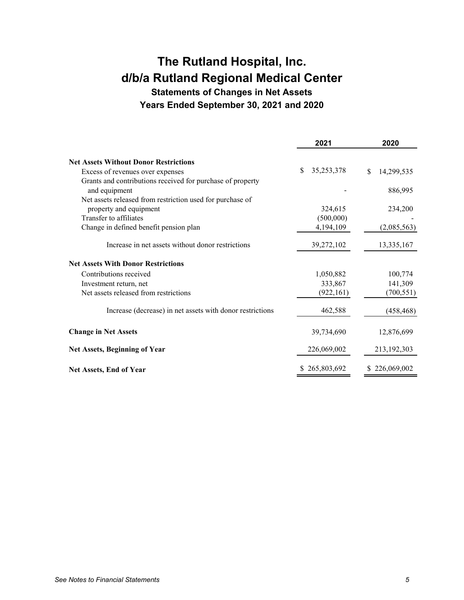# **The Rutland Hospital, Inc. d/b/a Rutland Regional Medical Center**

**Statements of Changes in Net Assets Years Ended September 30, 2021 and 2020** 

|                                                                             | 2021               | 2020             |
|-----------------------------------------------------------------------------|--------------------|------------------|
| <b>Net Assets Without Donor Restrictions</b>                                |                    |                  |
| Excess of revenues over expenses                                            | \$<br>35, 253, 378 | \$<br>14,299,535 |
| Grants and contributions received for purchase of property<br>and equipment |                    | 886,995          |
| Net assets released from restriction used for purchase of                   |                    |                  |
| property and equipment                                                      | 324,615            | 234,200          |
| Transfer to affiliates                                                      | (500,000)          |                  |
| Change in defined benefit pension plan                                      | 4,194,109          | (2,085,563)      |
| Increase in net assets without donor restrictions                           | 39,272,102         | 13,335,167       |
| <b>Net Assets With Donor Restrictions</b>                                   |                    |                  |
| Contributions received                                                      | 1,050,882          | 100,774          |
| Investment return, net                                                      | 333,867            | 141,309          |
| Net assets released from restrictions                                       | (922, 161)         | (700, 551)       |
| Increase (decrease) in net assets with donor restrictions                   | 462,588            | (458, 468)       |
| <b>Change in Net Assets</b>                                                 | 39,734,690         | 12,876,699       |
| <b>Net Assets, Beginning of Year</b>                                        | 226,069,002        | 213,192,303      |
| <b>Net Assets, End of Year</b>                                              | \$265,803,692      | \$226,069,002    |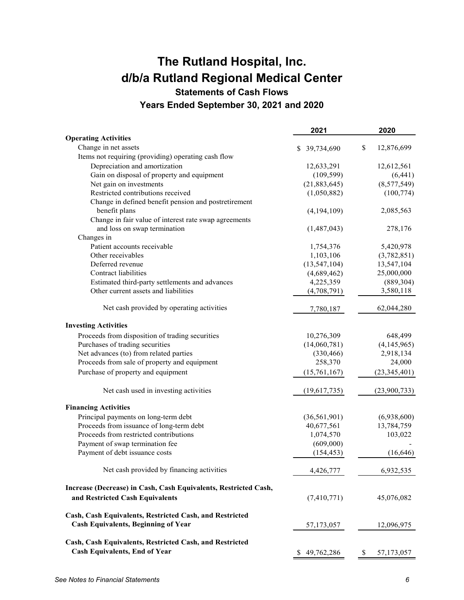# **The Rutland Hospital, Inc. d/b/a Rutland Regional Medical Center**

**Statements of Cash Flows** 

**Years Ended September 30, 2021 and 2020** 

|                                                                 | 2021             | 2020             |
|-----------------------------------------------------------------|------------------|------------------|
| <b>Operating Activities</b>                                     |                  |                  |
| Change in net assets                                            | 39,734,690<br>S. | \$<br>12,876,699 |
| Items not requiring (providing) operating cash flow             |                  |                  |
| Depreciation and amortization                                   | 12,633,291       | 12,612,561       |
| Gain on disposal of property and equipment                      | (109, 599)       | (6,441)          |
| Net gain on investments                                         | (21,883,645)     | (8,577,549)      |
| Restricted contributions received                               | (1,050,882)      | (100, 774)       |
| Change in defined benefit pension and postretirement            |                  |                  |
| benefit plans                                                   | (4,194,109)      | 2,085,563        |
| Change in fair value of interest rate swap agreements           |                  |                  |
| and loss on swap termination                                    | (1,487,043)      | 278,176          |
| Changes in                                                      |                  |                  |
| Patient accounts receivable                                     | 1,754,376        | 5,420,978        |
| Other receivables                                               | 1,103,106        | (3,782,851)      |
| Deferred revenue                                                | (13, 547, 104)   | 13,547,104       |
| Contract liabilities                                            | (4,689,462)      | 25,000,000       |
| Estimated third-party settlements and advances                  | 4,225,359        | (889, 304)       |
| Other current assets and liabilities                            | (4,708,791)      | 3,580,118        |
| Net cash provided by operating activities                       | 7,780,187        | 62,044,280       |
|                                                                 |                  |                  |
| <b>Investing Activities</b>                                     |                  |                  |
| Proceeds from disposition of trading securities                 | 10,276,309       | 648,499          |
| Purchases of trading securities                                 | (14,060,781)     | (4,145,965)      |
| Net advances (to) from related parties                          | (330, 466)       | 2,918,134        |
| Proceeds from sale of property and equipment                    | 258,370          | 24,000           |
| Purchase of property and equipment                              | (15,761,167)     | (23, 345, 401)   |
| Net cash used in investing activities                           | (19,617,735)     | (23,900,733)     |
| <b>Financing Activities</b>                                     |                  |                  |
| Principal payments on long-term debt                            | (36, 561, 901)   | (6,938,600)      |
| Proceeds from issuance of long-term debt                        | 40,677,561       | 13,784,759       |
| Proceeds from restricted contributions                          | 1,074,570        | 103,022          |
| Payment of swap termination fee                                 | (609,000)        |                  |
| Payment of debt issuance costs                                  | (154, 453)       | (16, 646)        |
| Net cash provided by financing activities                       | 4,426,777        | 6,932,535        |
| Increase (Decrease) in Cash, Cash Equivalents, Restricted Cash, |                  |                  |
| and Restricted Cash Equivalents                                 | (7,410,771)      | 45,076,082       |
| Cash, Cash Equivalents, Restricted Cash, and Restricted         |                  |                  |
| <b>Cash Equivalents, Beginning of Year</b>                      | 57,173,057       | 12,096,975       |
| Cash, Cash Equivalents, Restricted Cash, and Restricted         |                  |                  |
| <b>Cash Equivalents, End of Year</b>                            | 49,762,286       | 57,173,057       |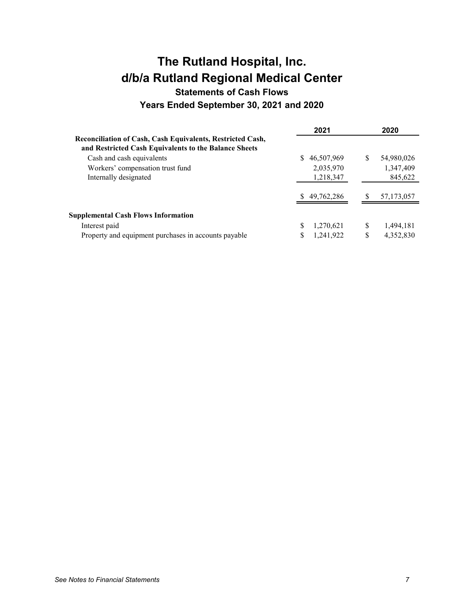# **The Rutland Hospital, Inc. d/b/a Rutland Regional Medical Center Statements of Cash Flows**

**Years Ended September 30, 2021 and 2020** 

|                                                            |    | 2021         |    | 2020         |
|------------------------------------------------------------|----|--------------|----|--------------|
| Reconciliation of Cash, Cash Equivalents, Restricted Cash, |    |              |    |              |
| and Restricted Cash Equivalents to the Balance Sheets      |    |              |    |              |
| Cash and cash equivalents                                  | S. | 46,507,969   | S  | 54,980,026   |
| Workers' compensation trust fund                           |    | 2,035,970    |    | 1,347,409    |
| Internally designated                                      |    | 1,218,347    |    | 845,622      |
|                                                            |    | \$49,762,286 | S  | 57, 173, 057 |
| <b>Supplemental Cash Flows Information</b>                 |    |              |    |              |
| Interest paid                                              |    | 1,270,621    | S  | 1,494,181    |
| Property and equipment purchases in accounts payable       |    | 1,241,922    | \$ | 4,352,830    |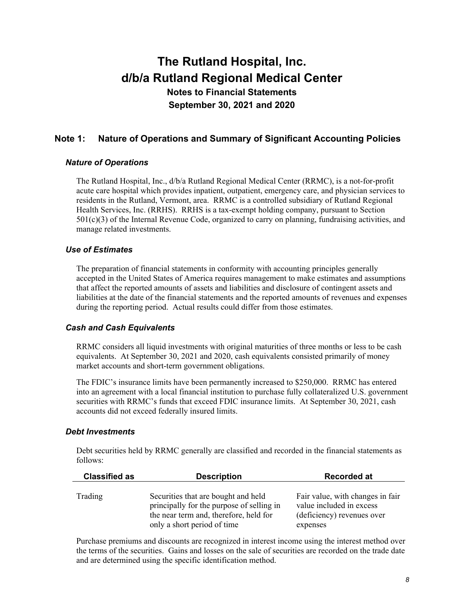# **Note 1: Nature of Operations and Summary of Significant Accounting Policies**

#### *Nature of Operations*

The Rutland Hospital, Inc., d/b/a Rutland Regional Medical Center (RRMC), is a not-for-profit acute care hospital which provides inpatient, outpatient, emergency care, and physician services to residents in the Rutland, Vermont, area. RRMC is a controlled subsidiary of Rutland Regional Health Services, Inc. (RRHS). RRHS is a tax-exempt holding company, pursuant to Section  $501(c)(3)$  of the Internal Revenue Code, organized to carry on planning, fundraising activities, and manage related investments.

### *Use of Estimates*

The preparation of financial statements in conformity with accounting principles generally accepted in the United States of America requires management to make estimates and assumptions that affect the reported amounts of assets and liabilities and disclosure of contingent assets and liabilities at the date of the financial statements and the reported amounts of revenues and expenses during the reporting period. Actual results could differ from those estimates.

### *Cash and Cash Equivalents*

RRMC considers all liquid investments with original maturities of three months or less to be cash equivalents. At September 30, 2021 and 2020, cash equivalents consisted primarily of money market accounts and short-term government obligations.

The FDIC's insurance limits have been permanently increased to \$250,000. RRMC has entered into an agreement with a local financial institution to purchase fully collateralized U.S. government securities with RRMC's funds that exceed FDIC insurance limits. At September 30, 2021, cash accounts did not exceed federally insured limits.

#### *Debt Investments*

Debt securities held by RRMC generally are classified and recorded in the financial statements as follows:

| <b>Classified as</b> | <b>Description</b>                        | <b>Recorded at</b>               |
|----------------------|-------------------------------------------|----------------------------------|
|                      |                                           |                                  |
| Trading              | Securities that are bought and held       | Fair value, with changes in fair |
|                      | principally for the purpose of selling in | value included in excess         |
|                      | the near term and, therefore, held for    | (deficiency) revenues over       |
|                      | only a short period of time               | expenses                         |

Purchase premiums and discounts are recognized in interest income using the interest method over the terms of the securities. Gains and losses on the sale of securities are recorded on the trade date and are determined using the specific identification method.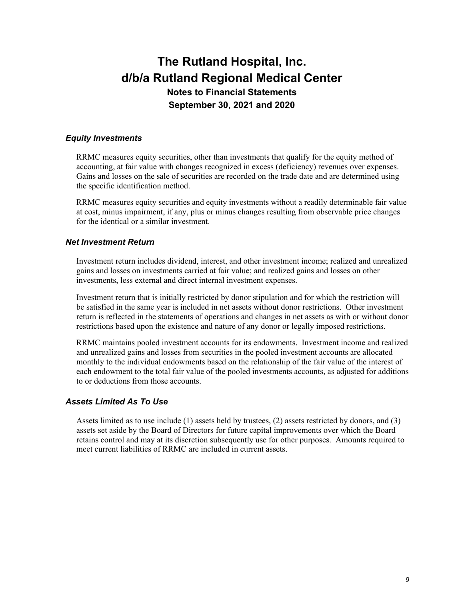### *Equity Investments*

RRMC measures equity securities, other than investments that qualify for the equity method of accounting, at fair value with changes recognized in excess (deficiency) revenues over expenses. Gains and losses on the sale of securities are recorded on the trade date and are determined using the specific identification method.

RRMC measures equity securities and equity investments without a readily determinable fair value at cost, minus impairment, if any, plus or minus changes resulting from observable price changes for the identical or a similar investment.

### *Net Investment Return*

Investment return includes dividend, interest, and other investment income; realized and unrealized gains and losses on investments carried at fair value; and realized gains and losses on other investments, less external and direct internal investment expenses.

Investment return that is initially restricted by donor stipulation and for which the restriction will be satisfied in the same year is included in net assets without donor restrictions. Other investment return is reflected in the statements of operations and changes in net assets as with or without donor restrictions based upon the existence and nature of any donor or legally imposed restrictions.

RRMC maintains pooled investment accounts for its endowments. Investment income and realized and unrealized gains and losses from securities in the pooled investment accounts are allocated monthly to the individual endowments based on the relationship of the fair value of the interest of each endowment to the total fair value of the pooled investments accounts, as adjusted for additions to or deductions from those accounts.

### *Assets Limited As To Use*

Assets limited as to use include (1) assets held by trustees, (2) assets restricted by donors, and (3) assets set aside by the Board of Directors for future capital improvements over which the Board retains control and may at its discretion subsequently use for other purposes. Amounts required to meet current liabilities of RRMC are included in current assets.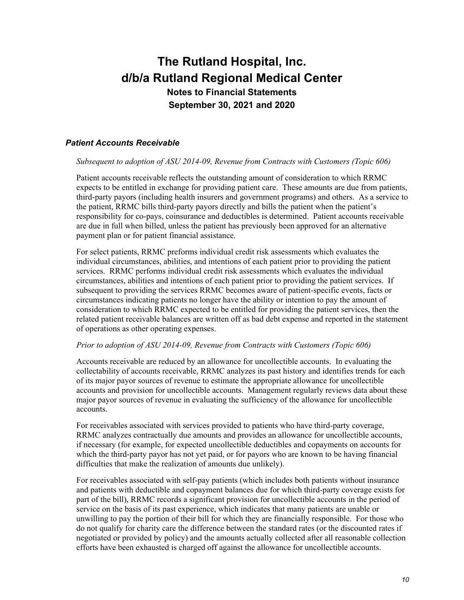### *Patient Accounts Receivable*

#### *Subsequent to adoption of ASU 2014-09, Revenue from Contracts with Customers (Topic 606)*

Patient accounts receivable reflects the outstanding amount of consideration to which RRMC expects to be entitled in exchange for providing patient care. These amounts are due from patients, third-party payors (including health insurers and government programs) and others. As a service to the patient, RRMC bills third-party payors directly and bills the patient when the patient's responsibility for co-pays, coinsurance and deductibles is determined. Patient accounts receivable are due in full when billed, unless the patient has previously been approved for an alternative payment plan or for patient financial assistance.

For select patients, RRMC preforms individual credit risk assessments which evaluates the individual circumstances, abilities, and intentions of each patient prior to providing the patient services. RRMC performs individual credit risk assessments which evaluates the individual circumstances, abilities and intentions of each patient prior to providing the patient services. If subsequent to providing the services RRMC becomes aware of patient-specific events, facts or circumstances indicating patients no longer have the ability or intention to pay the amount of consideration to which RRMC expected to be entitled for providing the patient services, then the related patient receivable balances are written off as bad debt expense and reported in the statement of operations as other operating expenses.

#### *Prior to adoption of ASU 2014-09, Revenue from Contracts with Customers (Topic 606)*

Accounts receivable are reduced by an allowance for uncollectible accounts. In evaluating the collectability of accounts receivable, RRMC analyzes its past history and identifies trends for each of its major payor sources of revenue to estimate the appropriate allowance for uncollectible accounts and provision for uncollectible accounts. Management regularly reviews data about these major payor sources of revenue in evaluating the sufficiency of the allowance for uncollectible accounts.

For receivables associated with services provided to patients who have third-party coverage, RRMC analyzes contractually due amounts and provides an allowance for uncollectible accounts, if necessary (for example, for expected uncollectible deductibles and copayments on accounts for which the third-party payor has not yet paid, or for payors who are known to be having financial difficulties that make the realization of amounts due unlikely).

For receivables associated with self-pay patients (which includes both patients without insurance and patients with deductible and copayment balances due for which third-party coverage exists for part of the bill), RRMC records a significant provision for uncollectible accounts in the period of service on the basis of its past experience, which indicates that many patients are unable or unwilling to pay the portion of their bill for which they are financially responsible. For those who do not qualify for charity care the difference between the standard rates (or the discounted rates if negotiated or provided by policy) and the amounts actually collected after all reasonable collection efforts have been exhausted is charged off against the allowance for uncollectible accounts.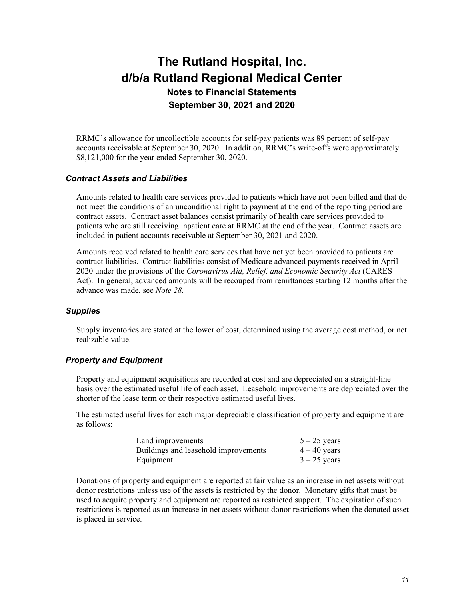RRMC's allowance for uncollectible accounts for self-pay patients was 89 percent of self-pay accounts receivable at September 30, 2020. In addition, RRMC's write-offs were approximately \$8,121,000 for the year ended September 30, 2020.

#### *Contract Assets and Liabilities*

Amounts related to health care services provided to patients which have not been billed and that do not meet the conditions of an unconditional right to payment at the end of the reporting period are contract assets. Contract asset balances consist primarily of health care services provided to patients who are still receiving inpatient care at RRMC at the end of the year. Contract assets are included in patient accounts receivable at September 30, 2021 and 2020.

Amounts received related to health care services that have not yet been provided to patients are contract liabilities. Contract liabilities consist of Medicare advanced payments received in April 2020 under the provisions of the *Coronavirus Aid, Relief, and Economic Security Act* (CARES Act). In general, advanced amounts will be recouped from remittances starting 12 months after the advance was made, see *Note 28.* 

#### *Supplies*

Supply inventories are stated at the lower of cost, determined using the average cost method, or net realizable value.

#### *Property and Equipment*

Property and equipment acquisitions are recorded at cost and are depreciated on a straight-line basis over the estimated useful life of each asset. Leasehold improvements are depreciated over the shorter of the lease term or their respective estimated useful lives.

The estimated useful lives for each major depreciable classification of property and equipment are as follows:

| Land improvements                    | $5 - 25$ years |
|--------------------------------------|----------------|
| Buildings and leasehold improvements | $4-40$ years   |
| Equipment                            | $3 - 25$ years |

Donations of property and equipment are reported at fair value as an increase in net assets without donor restrictions unless use of the assets is restricted by the donor. Monetary gifts that must be used to acquire property and equipment are reported as restricted support. The expiration of such restrictions is reported as an increase in net assets without donor restrictions when the donated asset is placed in service.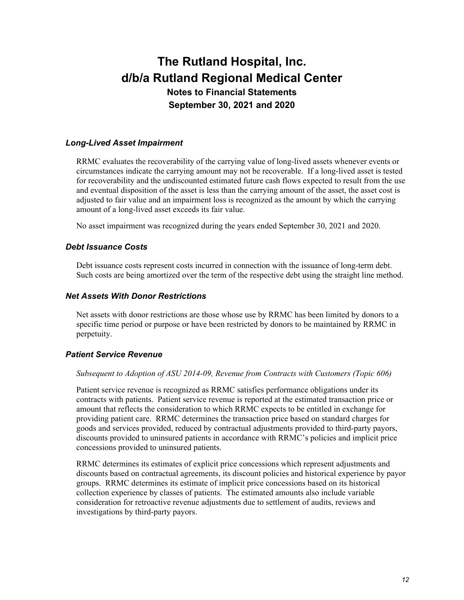### *Long-Lived Asset Impairment*

RRMC evaluates the recoverability of the carrying value of long-lived assets whenever events or circumstances indicate the carrying amount may not be recoverable. If a long-lived asset is tested for recoverability and the undiscounted estimated future cash flows expected to result from the use and eventual disposition of the asset is less than the carrying amount of the asset, the asset cost is adjusted to fair value and an impairment loss is recognized as the amount by which the carrying amount of a long-lived asset exceeds its fair value.

No asset impairment was recognized during the years ended September 30, 2021 and 2020.

### *Debt Issuance Costs*

Debt issuance costs represent costs incurred in connection with the issuance of long-term debt. Such costs are being amortized over the term of the respective debt using the straight line method.

### *Net Assets With Donor Restrictions*

Net assets with donor restrictions are those whose use by RRMC has been limited by donors to a specific time period or purpose or have been restricted by donors to be maintained by RRMC in perpetuity.

### *Patient Service Revenue*

#### *Subsequent to Adoption of ASU 2014-09, Revenue from Contracts with Customers (Topic 606)*

Patient service revenue is recognized as RRMC satisfies performance obligations under its contracts with patients. Patient service revenue is reported at the estimated transaction price or amount that reflects the consideration to which RRMC expects to be entitled in exchange for providing patient care. RRMC determines the transaction price based on standard charges for goods and services provided, reduced by contractual adjustments provided to third-party payors, discounts provided to uninsured patients in accordance with RRMC's policies and implicit price concessions provided to uninsured patients.

RRMC determines its estimates of explicit price concessions which represent adjustments and discounts based on contractual agreements, its discount policies and historical experience by payor groups. RRMC determines its estimate of implicit price concessions based on its historical collection experience by classes of patients. The estimated amounts also include variable consideration for retroactive revenue adjustments due to settlement of audits, reviews and investigations by third-party payors.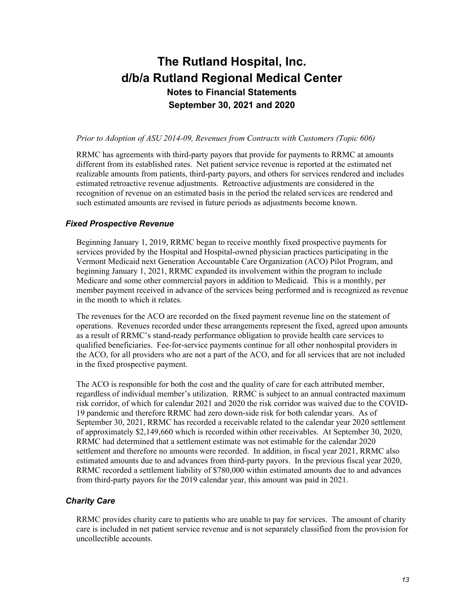#### *Prior to Adoption of ASU 2014-09, Revenues from Contracts with Customers (Topic 606)*

RRMC has agreements with third-party payors that provide for payments to RRMC at amounts different from its established rates. Net patient service revenue is reported at the estimated net realizable amounts from patients, third-party payors, and others for services rendered and includes estimated retroactive revenue adjustments. Retroactive adjustments are considered in the recognition of revenue on an estimated basis in the period the related services are rendered and such estimated amounts are revised in future periods as adjustments become known.

#### *Fixed Prospective Revenue*

Beginning January 1, 2019, RRMC began to receive monthly fixed prospective payments for services provided by the Hospital and Hospital-owned physician practices participating in the Vermont Medicaid next Generation Accountable Care Organization (ACO) Pilot Program, and beginning January 1, 2021, RRMC expanded its involvement within the program to include Medicare and some other commercial payors in addition to Medicaid. This is a monthly, per member payment received in advance of the services being performed and is recognized as revenue in the month to which it relates.

The revenues for the ACO are recorded on the fixed payment revenue line on the statement of operations. Revenues recorded under these arrangements represent the fixed, agreed upon amounts as a result of RRMC's stand-ready performance obligation to provide health care services to qualified beneficiaries. Fee-for-service payments continue for all other nonhospital providers in the ACO, for all providers who are not a part of the ACO, and for all services that are not included in the fixed prospective payment.

The ACO is responsible for both the cost and the quality of care for each attributed member, regardless of individual member's utilization. RRMC is subject to an annual contracted maximum risk corridor, of which for calendar 2021 and 2020 the risk corridor was waived due to the COVID-19 pandemic and therefore RRMC had zero down-side risk for both calendar years. As of September 30, 2021, RRMC has recorded a receivable related to the calendar year 2020 settlement of approximately \$2,149,660 which is recorded within other receivables. At September 30, 2020, RRMC had determined that a settlement estimate was not estimable for the calendar 2020 settlement and therefore no amounts were recorded. In addition, in fiscal year 2021, RRMC also estimated amounts due to and advances from third-party payors. In the previous fiscal year 2020, RRMC recorded a settlement liability of \$780,000 within estimated amounts due to and advances from third-party payors for the 2019 calendar year, this amount was paid in 2021.

#### *Charity Care*

RRMC provides charity care to patients who are unable to pay for services. The amount of charity care is included in net patient service revenue and is not separately classified from the provision for uncollectible accounts.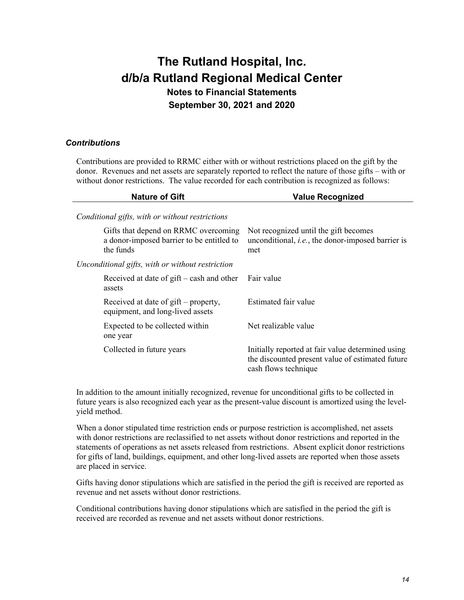### *Contributions*

Contributions are provided to RRMC either with or without restrictions placed on the gift by the donor. Revenues and net assets are separately reported to reflect the nature of those gifts – with or without donor restrictions. The value recorded for each contribution is recognized as follows:

| <b>Nature of Gift</b>                                                                          | <b>Value Recognized</b>                                                                                                       |  |
|------------------------------------------------------------------------------------------------|-------------------------------------------------------------------------------------------------------------------------------|--|
| Conditional gifts, with or without restrictions                                                |                                                                                                                               |  |
| Gifts that depend on RRMC overcoming<br>a donor-imposed barrier to be entitled to<br>the funds | Not recognized until the gift becomes<br>unconditional, i.e., the donor-imposed barrier is<br>met                             |  |
| Unconditional gifts, with or without restriction                                               |                                                                                                                               |  |
| Received at date of $g$ ift – cash and other<br>assets                                         | Fair value                                                                                                                    |  |
| Received at date of $g$ ift – property,<br>equipment, and long-lived assets                    | Estimated fair value                                                                                                          |  |
| Expected to be collected within<br>one year                                                    | Net realizable value                                                                                                          |  |
| Collected in future years                                                                      | Initially reported at fair value determined using<br>the discounted present value of estimated future<br>cash flows technique |  |

In addition to the amount initially recognized, revenue for unconditional gifts to be collected in future years is also recognized each year as the present-value discount is amortized using the levelyield method.

When a donor stipulated time restriction ends or purpose restriction is accomplished, net assets with donor restrictions are reclassified to net assets without donor restrictions and reported in the statements of operations as net assets released from restrictions. Absent explicit donor restrictions for gifts of land, buildings, equipment, and other long-lived assets are reported when those assets are placed in service.

Gifts having donor stipulations which are satisfied in the period the gift is received are reported as revenue and net assets without donor restrictions.

Conditional contributions having donor stipulations which are satisfied in the period the gift is received are recorded as revenue and net assets without donor restrictions.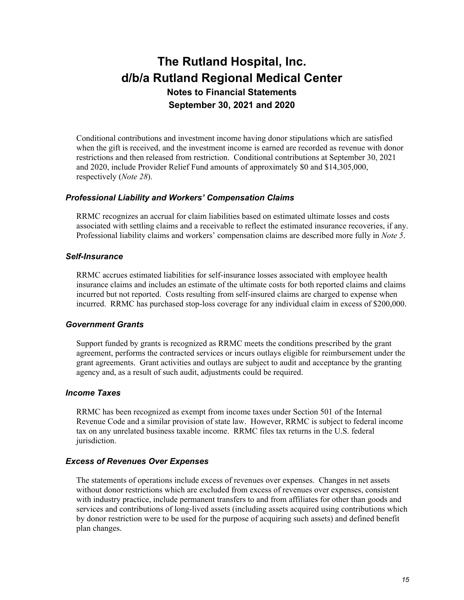Conditional contributions and investment income having donor stipulations which are satisfied when the gift is received, and the investment income is earned are recorded as revenue with donor restrictions and then released from restriction. Conditional contributions at September 30, 2021 and 2020, include Provider Relief Fund amounts of approximately \$0 and \$14,305,000, respectively (*Note 28*).

#### *Professional Liability and Workers' Compensation Claims*

RRMC recognizes an accrual for claim liabilities based on estimated ultimate losses and costs associated with settling claims and a receivable to reflect the estimated insurance recoveries, if any. Professional liability claims and workers' compensation claims are described more fully in *Note 5*.

#### *Self-Insurance*

RRMC accrues estimated liabilities for self-insurance losses associated with employee health insurance claims and includes an estimate of the ultimate costs for both reported claims and claims incurred but not reported. Costs resulting from self-insured claims are charged to expense when incurred. RRMC has purchased stop-loss coverage for any individual claim in excess of \$200,000.

#### *Government Grants*

Support funded by grants is recognized as RRMC meets the conditions prescribed by the grant agreement, performs the contracted services or incurs outlays eligible for reimbursement under the grant agreements. Grant activities and outlays are subject to audit and acceptance by the granting agency and, as a result of such audit, adjustments could be required.

#### *Income Taxes*

RRMC has been recognized as exempt from income taxes under Section 501 of the Internal Revenue Code and a similar provision of state law. However, RRMC is subject to federal income tax on any unrelated business taxable income. RRMC files tax returns in the U.S. federal jurisdiction.

#### *Excess of Revenues Over Expenses*

The statements of operations include excess of revenues over expenses. Changes in net assets without donor restrictions which are excluded from excess of revenues over expenses, consistent with industry practice, include permanent transfers to and from affiliates for other than goods and services and contributions of long-lived assets (including assets acquired using contributions which by donor restriction were to be used for the purpose of acquiring such assets) and defined benefit plan changes.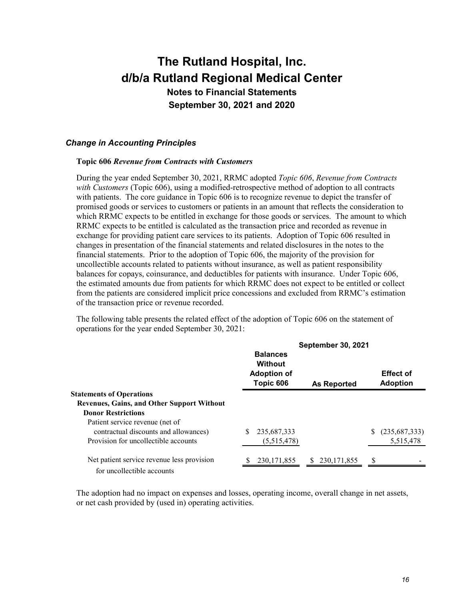### *Change in Accounting Principles*

#### **Topic 606** *Revenue from Contracts with Customers*

During the year ended September 30, 2021, RRMC adopted *Topic 606*, *Revenue from Contracts with Customers* (Topic 606), using a modified-retrospective method of adoption to all contracts with patients. The core guidance in Topic 606 is to recognize revenue to depict the transfer of promised goods or services to customers or patients in an amount that reflects the consideration to which RRMC expects to be entitled in exchange for those goods or services. The amount to which RRMC expects to be entitled is calculated as the transaction price and recorded as revenue in exchange for providing patient care services to its patients. Adoption of Topic 606 resulted in changes in presentation of the financial statements and related disclosures in the notes to the financial statements. Prior to the adoption of Topic 606, the majority of the provision for uncollectible accounts related to patients without insurance, as well as patient responsibility balances for copays, coinsurance, and deductibles for patients with insurance. Under Topic 606, the estimated amounts due from patients for which RRMC does not expect to be entitled or collect from the patients are considered implicit price concessions and excluded from RRMC's estimation of the transaction price or revenue recorded.

The following table presents the related effect of the adoption of Topic 606 on the statement of operations for the year ended September 30, 2021:

|                                                   | <b>September 30, 2021</b>                                     |                |                                     |
|---------------------------------------------------|---------------------------------------------------------------|----------------|-------------------------------------|
|                                                   | <b>Balances</b><br>Without<br><b>Adoption of</b><br>Topic 606 | As Reported    | <b>Effect of</b><br><b>Adoption</b> |
| <b>Statements of Operations</b>                   |                                                               |                |                                     |
| <b>Revenues, Gains, and Other Support Without</b> |                                                               |                |                                     |
| <b>Donor Restrictions</b>                         |                                                               |                |                                     |
| Patient service revenue (net of                   |                                                               |                |                                     |
| contractual discounts and allowances)             | 235,687,333<br>S                                              |                | (235, 687, 333)                     |
| Provision for uncollectible accounts              | (5,515,478)                                                   |                | 5,515,478                           |
| Net patient service revenue less provision        | 230, 171, 855                                                 | \$ 230,171,855 |                                     |
| for uncollectible accounts                        |                                                               |                |                                     |

The adoption had no impact on expenses and losses, operating income, overall change in net assets, or net cash provided by (used in) operating activities.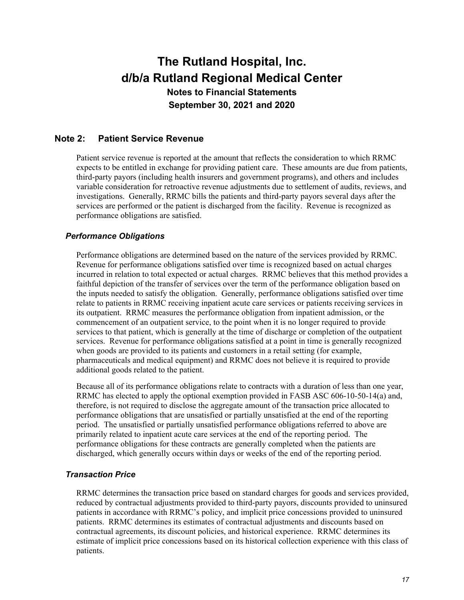## **Note 2: Patient Service Revenue**

Patient service revenue is reported at the amount that reflects the consideration to which RRMC expects to be entitled in exchange for providing patient care. These amounts are due from patients, third-party payors (including health insurers and government programs), and others and includes variable consideration for retroactive revenue adjustments due to settlement of audits, reviews, and investigations. Generally, RRMC bills the patients and third-party payors several days after the services are performed or the patient is discharged from the facility. Revenue is recognized as performance obligations are satisfied.

### *Performance Obligations*

Performance obligations are determined based on the nature of the services provided by RRMC. Revenue for performance obligations satisfied over time is recognized based on actual charges incurred in relation to total expected or actual charges. RRMC believes that this method provides a faithful depiction of the transfer of services over the term of the performance obligation based on the inputs needed to satisfy the obligation. Generally, performance obligations satisfied over time relate to patients in RRMC receiving inpatient acute care services or patients receiving services in its outpatient. RRMC measures the performance obligation from inpatient admission, or the commencement of an outpatient service, to the point when it is no longer required to provide services to that patient, which is generally at the time of discharge or completion of the outpatient services. Revenue for performance obligations satisfied at a point in time is generally recognized when goods are provided to its patients and customers in a retail setting (for example, pharmaceuticals and medical equipment) and RRMC does not believe it is required to provide additional goods related to the patient.

Because all of its performance obligations relate to contracts with a duration of less than one year, RRMC has elected to apply the optional exemption provided in FASB ASC 606-10-50-14(a) and, therefore, is not required to disclose the aggregate amount of the transaction price allocated to performance obligations that are unsatisfied or partially unsatisfied at the end of the reporting period. The unsatisfied or partially unsatisfied performance obligations referred to above are primarily related to inpatient acute care services at the end of the reporting period. The performance obligations for these contracts are generally completed when the patients are discharged, which generally occurs within days or weeks of the end of the reporting period.

#### *Transaction Price*

RRMC determines the transaction price based on standard charges for goods and services provided, reduced by contractual adjustments provided to third-party payors, discounts provided to uninsured patients in accordance with RRMC's policy, and implicit price concessions provided to uninsured patients. RRMC determines its estimates of contractual adjustments and discounts based on contractual agreements, its discount policies, and historical experience. RRMC determines its estimate of implicit price concessions based on its historical collection experience with this class of patients.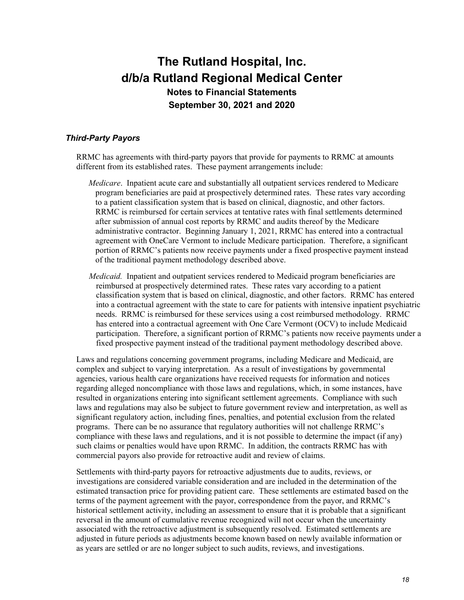### *Third-Party Payors*

RRMC has agreements with third-party payors that provide for payments to RRMC at amounts different from its established rates. These payment arrangements include:

- *Medicare*. Inpatient acute care and substantially all outpatient services rendered to Medicare program beneficiaries are paid at prospectively determined rates. These rates vary according to a patient classification system that is based on clinical, diagnostic, and other factors. RRMC is reimbursed for certain services at tentative rates with final settlements determined after submission of annual cost reports by RRMC and audits thereof by the Medicare administrative contractor. Beginning January 1, 2021, RRMC has entered into a contractual agreement with OneCare Vermont to include Medicare participation. Therefore, a significant portion of RRMC's patients now receive payments under a fixed prospective payment instead of the traditional payment methodology described above.
- *Medicaid.* Inpatient and outpatient services rendered to Medicaid program beneficiaries are reimbursed at prospectively determined rates. These rates vary according to a patient classification system that is based on clinical, diagnostic, and other factors. RRMC has entered into a contractual agreement with the state to care for patients with intensive inpatient psychiatric needs. RRMC is reimbursed for these services using a cost reimbursed methodology. RRMC has entered into a contractual agreement with One Care Vermont (OCV) to include Medicaid participation. Therefore, a significant portion of RRMC's patients now receive payments under a fixed prospective payment instead of the traditional payment methodology described above.

Laws and regulations concerning government programs, including Medicare and Medicaid, are complex and subject to varying interpretation. As a result of investigations by governmental agencies, various health care organizations have received requests for information and notices regarding alleged noncompliance with those laws and regulations, which, in some instances, have resulted in organizations entering into significant settlement agreements. Compliance with such laws and regulations may also be subject to future government review and interpretation, as well as significant regulatory action, including fines, penalties, and potential exclusion from the related programs. There can be no assurance that regulatory authorities will not challenge RRMC's compliance with these laws and regulations, and it is not possible to determine the impact (if any) such claims or penalties would have upon RRMC. In addition, the contracts RRMC has with commercial payors also provide for retroactive audit and review of claims.

Settlements with third-party payors for retroactive adjustments due to audits, reviews, or investigations are considered variable consideration and are included in the determination of the estimated transaction price for providing patient care. These settlements are estimated based on the terms of the payment agreement with the payor, correspondence from the payor, and RRMC's historical settlement activity, including an assessment to ensure that it is probable that a significant reversal in the amount of cumulative revenue recognized will not occur when the uncertainty associated with the retroactive adjustment is subsequently resolved. Estimated settlements are adjusted in future periods as adjustments become known based on newly available information or as years are settled or are no longer subject to such audits, reviews, and investigations.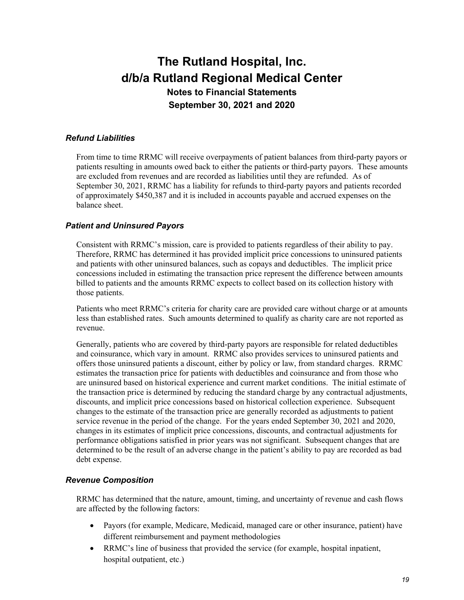### *Refund Liabilities*

From time to time RRMC will receive overpayments of patient balances from third-party payors or patients resulting in amounts owed back to either the patients or third-party payors. These amounts are excluded from revenues and are recorded as liabilities until they are refunded. As of September 30, 2021, RRMC has a liability for refunds to third-party payors and patients recorded of approximately \$450,387 and it is included in accounts payable and accrued expenses on the balance sheet.

### *Patient and Uninsured Payors*

Consistent with RRMC's mission, care is provided to patients regardless of their ability to pay. Therefore, RRMC has determined it has provided implicit price concessions to uninsured patients and patients with other uninsured balances, such as copays and deductibles. The implicit price concessions included in estimating the transaction price represent the difference between amounts billed to patients and the amounts RRMC expects to collect based on its collection history with those patients.

Patients who meet RRMC's criteria for charity care are provided care without charge or at amounts less than established rates. Such amounts determined to qualify as charity care are not reported as revenue.

Generally, patients who are covered by third-party payors are responsible for related deductibles and coinsurance, which vary in amount. RRMC also provides services to uninsured patients and offers those uninsured patients a discount, either by policy or law, from standard charges. RRMC estimates the transaction price for patients with deductibles and coinsurance and from those who are uninsured based on historical experience and current market conditions. The initial estimate of the transaction price is determined by reducing the standard charge by any contractual adjustments, discounts, and implicit price concessions based on historical collection experience. Subsequent changes to the estimate of the transaction price are generally recorded as adjustments to patient service revenue in the period of the change. For the years ended September 30, 2021 and 2020, changes in its estimates of implicit price concessions, discounts, and contractual adjustments for performance obligations satisfied in prior years was not significant. Subsequent changes that are determined to be the result of an adverse change in the patient's ability to pay are recorded as bad debt expense.

#### *Revenue Composition*

RRMC has determined that the nature, amount, timing, and uncertainty of revenue and cash flows are affected by the following factors:

- Payors (for example, Medicare, Medicaid, managed care or other insurance, patient) have different reimbursement and payment methodologies
- RRMC's line of business that provided the service (for example, hospital inpatient, hospital outpatient, etc.)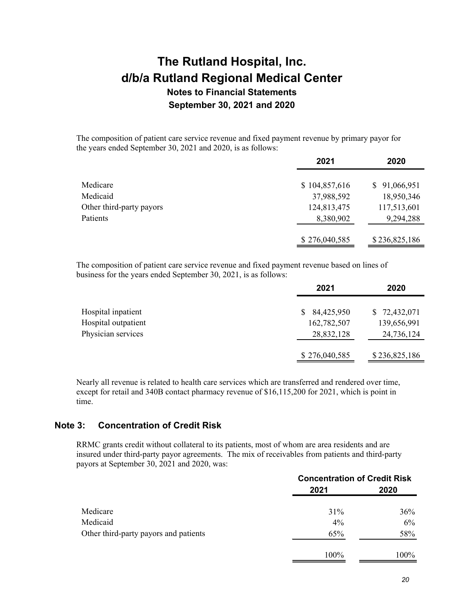The composition of patient care service revenue and fixed payment revenue by primary payor for the years ended September 30, 2021 and 2020, is as follows:

|                          | 2021          | 2020             |
|--------------------------|---------------|------------------|
|                          |               |                  |
| Medicare                 | \$104,857,616 | 91,066,951<br>S. |
| Medicaid                 | 37,988,592    | 18,950,346       |
| Other third-party payors | 124,813,475   | 117,513,601      |
| Patients                 | 8,380,902     | 9,294,288        |
|                          | \$276,040,585 | \$236,825,186    |

The composition of patient care service revenue and fixed payment revenue based on lines of business for the years ended September 30, 2021, is as follows:

|                     | 2021              | 2020          |
|---------------------|-------------------|---------------|
| Hospital inpatient  | 84,425,950<br>SS. | \$72,432,071  |
| Hospital outpatient | 162,782,507       | 139,656,991   |
| Physician services  | 28,832,128        | 24,736,124    |
|                     | \$276,040,585     | \$236,825,186 |

Nearly all revenue is related to health care services which are transferred and rendered over time, except for retail and 340B contact pharmacy revenue of \$16,115,200 for 2021, which is point in time.

# **Note 3: Concentration of Credit Risk**

RRMC grants credit without collateral to its patients, most of whom are area residents and are insured under third-party payor agreements. The mix of receivables from patients and third-party payors at September 30, 2021 and 2020, was:

|                                       | <b>Concentration of Credit Risk</b> |      |  |
|---------------------------------------|-------------------------------------|------|--|
|                                       | 2021                                | 2020 |  |
| Medicare                              | $31\%$                              | 36%  |  |
| Medicaid                              | $4\%$                               | 6%   |  |
| Other third-party payors and patients | 65%                                 | 58%  |  |
|                                       | 100%                                | 100% |  |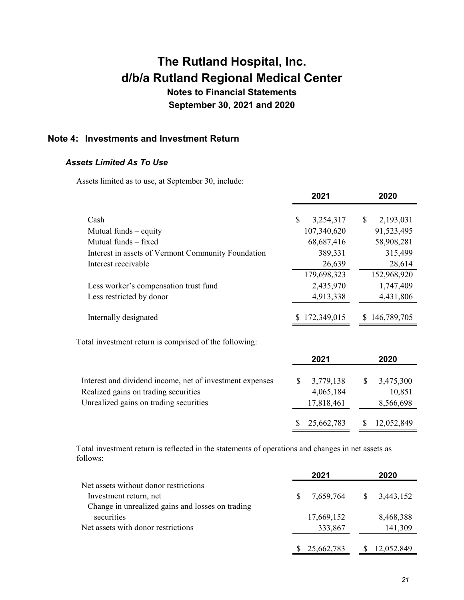# **The Rutland Hospital, Inc. d/b/a Rutland Regional Medical Center Notes to Financial Statements**

**September 30, 2021 and 2020** 

# **Note 4: Investments and Investment Return**

### *Assets Limited As To Use*

Assets limited as to use, at September 30, include:

|                                                          | 2021             | 2020            |
|----------------------------------------------------------|------------------|-----------------|
| Cash                                                     | \$<br>3,254,317  | 2,193,031<br>\$ |
|                                                          |                  |                 |
| Mutual funds $-$ equity                                  | 107,340,620      | 91,523,495      |
| Mutual funds - fixed                                     | 68,687,416       | 58,908,281      |
| Interest in assets of Vermont Community Foundation       | 389,331          | 315,499         |
| Interest receivable                                      | 26,639           | 28,614          |
|                                                          | 179,698,323      | 152,968,920     |
| Less worker's compensation trust fund                    | 2,435,970        | 1,747,409       |
| Less restricted by donor                                 | 4,913,338        | 4,431,806       |
| Internally designated                                    | 172,349,015      | 146,789,705     |
| Total investment return is comprised of the following:   |                  |                 |
|                                                          | 2021             | 2020            |
| Interest and dividend income, net of investment expenses | \$               | \$              |
|                                                          | 3,779,138        | 3,475,300       |
| Realized gains on trading securities                     | 4,065,184        | 10,851          |
| Unrealized gains on trading securities                   | 17,818,461       | 8,566,698       |
|                                                          | \$<br>25,662,783 | 12,052,849      |

Total investment return is reflected in the statements of operations and changes in net assets as follows:

|                                                  | 2021            | 2020                      |
|--------------------------------------------------|-----------------|---------------------------|
| Net assets without donor restrictions            |                 |                           |
| Investment return, net                           | 7,659,764<br>S. | 3,443,152<br><sup>S</sup> |
| Change in unrealized gains and losses on trading |                 |                           |
| securities                                       | 17,669,152      | 8,468,388                 |
| Net assets with donor restrictions               | 333,867         | 141,309                   |
|                                                  |                 |                           |
|                                                  | 25,662,783      | 12,052,849                |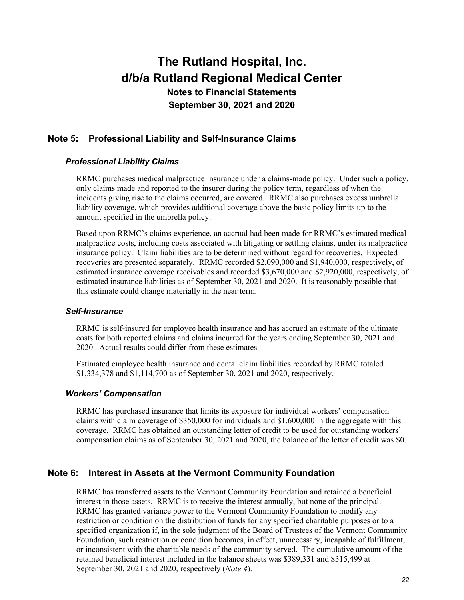# **Note 5: Professional Liability and Self-Insurance Claims**

### *Professional Liability Claims*

RRMC purchases medical malpractice insurance under a claims-made policy. Under such a policy, only claims made and reported to the insurer during the policy term, regardless of when the incidents giving rise to the claims occurred, are covered. RRMC also purchases excess umbrella liability coverage, which provides additional coverage above the basic policy limits up to the amount specified in the umbrella policy.

Based upon RRMC's claims experience, an accrual had been made for RRMC's estimated medical malpractice costs, including costs associated with litigating or settling claims, under its malpractice insurance policy. Claim liabilities are to be determined without regard for recoveries. Expected recoveries are presented separately. RRMC recorded \$2,090,000 and \$1,940,000, respectively, of estimated insurance coverage receivables and recorded \$3,670,000 and \$2,920,000, respectively, of estimated insurance liabilities as of September 30, 2021 and 2020. It is reasonably possible that this estimate could change materially in the near term.

#### *Self-Insurance*

RRMC is self-insured for employee health insurance and has accrued an estimate of the ultimate costs for both reported claims and claims incurred for the years ending September 30, 2021 and 2020. Actual results could differ from these estimates.

Estimated employee health insurance and dental claim liabilities recorded by RRMC totaled \$1,334,378 and \$1,114,700 as of September 30, 2021 and 2020, respectively.

#### *Workers' Compensation*

RRMC has purchased insurance that limits its exposure for individual workers' compensation claims with claim coverage of \$350,000 for individuals and \$1,600,000 in the aggregate with this coverage. RRMC has obtained an outstanding letter of credit to be used for outstanding workers' compensation claims as of September 30, 2021 and 2020, the balance of the letter of credit was \$0.

### **Note 6: Interest in Assets at the Vermont Community Foundation**

RRMC has transferred assets to the Vermont Community Foundation and retained a beneficial interest in those assets. RRMC is to receive the interest annually, but none of the principal. RRMC has granted variance power to the Vermont Community Foundation to modify any restriction or condition on the distribution of funds for any specified charitable purposes or to a specified organization if, in the sole judgment of the Board of Trustees of the Vermont Community Foundation, such restriction or condition becomes, in effect, unnecessary, incapable of fulfillment, or inconsistent with the charitable needs of the community served. The cumulative amount of the retained beneficial interest included in the balance sheets was \$389,331 and \$315,499 at September 30, 2021 and 2020, respectively (*Note 4*).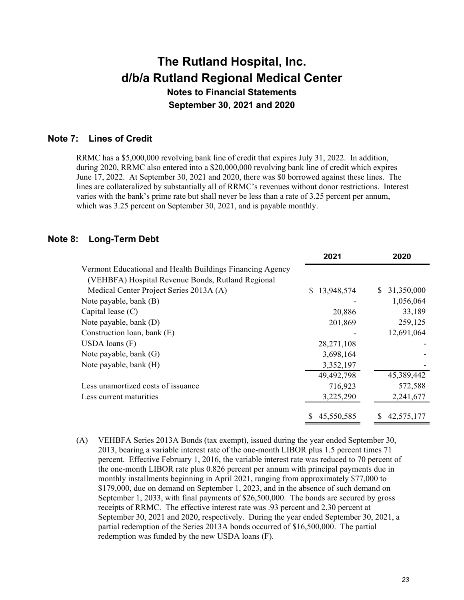### **Note 7: Lines of Credit**

RRMC has a \$5,000,000 revolving bank line of credit that expires July 31, 2022. In addition, during 2020, RRMC also entered into a \$20,000,000 revolving bank line of credit which expires June 17, 2022. At September 30, 2021 and 2020, there was \$0 borrowed against these lines. The lines are collateralized by substantially all of RRMC's revenues without donor restrictions. Interest varies with the bank's prime rate but shall never be less than a rate of 3.25 percent per annum, which was 3.25 percent on September 30, 2021, and is payable monthly.

### **Note 8: Long-Term Debt**

|                                                           | 2021         | 2020             |
|-----------------------------------------------------------|--------------|------------------|
| Vermont Educational and Health Buildings Financing Agency |              |                  |
| (VEHBFA) Hospital Revenue Bonds, Rutland Regional         |              |                  |
| Medical Center Project Series 2013A (A)                   | \$13,948,574 | 31,350,000<br>S. |
| Note payable, bank (B)                                    |              | 1,056,064        |
| Capital lease $(C)$                                       | 20,886       | 33,189           |
| Note payable, bank (D)                                    | 201,869      | 259,125          |
| Construction loan, bank (E)                               |              | 12,691,064       |
| USDA loans $(F)$                                          | 28,271,108   |                  |
| Note payable, bank (G)                                    | 3,698,164    |                  |
| Note payable, bank (H)                                    | 3,352,197    |                  |
|                                                           | 49,492,798   | 45,389,442       |
| Less unamortized costs of issuance                        | 716,923      | 572,588          |
| Less current maturities                                   | 3,225,290    | 2,241,677        |
|                                                           | 45,550,585   | 42,575,177       |

(A) VEHBFA Series 2013A Bonds (tax exempt), issued during the year ended September 30, 2013, bearing a variable interest rate of the one-month LIBOR plus 1.5 percent times 71 percent. Effective February 1, 2016, the variable interest rate was reduced to 70 percent of the one-month LIBOR rate plus 0.826 percent per annum with principal payments due in monthly installments beginning in April 2021, ranging from approximately \$77,000 to \$179,000, due on demand on September 1, 2023, and in the absence of such demand on September 1, 2033, with final payments of \$26,500,000. The bonds are secured by gross receipts of RRMC. The effective interest rate was .93 percent and 2.30 percent at September 30, 2021 and 2020, respectively. During the year ended September 30, 2021, a partial redemption of the Series 2013A bonds occurred of \$16,500,000. The partial redemption was funded by the new USDA loans (F).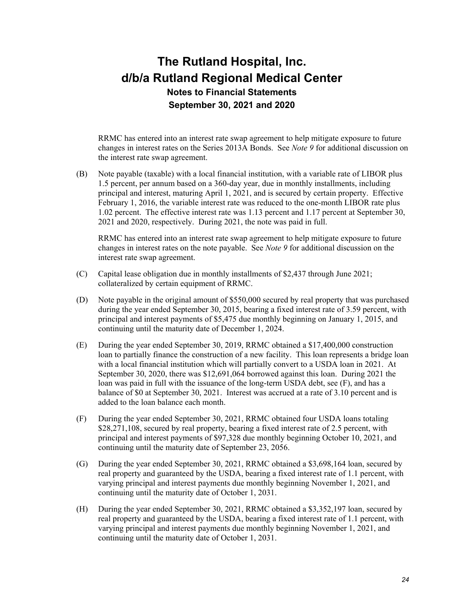RRMC has entered into an interest rate swap agreement to help mitigate exposure to future changes in interest rates on the Series 2013A Bonds. See *Note 9* for additional discussion on the interest rate swap agreement.

(B) Note payable (taxable) with a local financial institution, with a variable rate of LIBOR plus 1.5 percent, per annum based on a 360-day year, due in monthly installments, including principal and interest, maturing April 1, 2021, and is secured by certain property. Effective February 1, 2016, the variable interest rate was reduced to the one-month LIBOR rate plus 1.02 percent. The effective interest rate was 1.13 percent and 1.17 percent at September 30, 2021 and 2020, respectively. During 2021, the note was paid in full.

RRMC has entered into an interest rate swap agreement to help mitigate exposure to future changes in interest rates on the note payable. See *Note 9* for additional discussion on the interest rate swap agreement.

- (C) Capital lease obligation due in monthly installments of \$2,437 through June 2021; collateralized by certain equipment of RRMC.
- (D) Note payable in the original amount of \$550,000 secured by real property that was purchased during the year ended September 30, 2015, bearing a fixed interest rate of 3.59 percent, with principal and interest payments of \$5,475 due monthly beginning on January 1, 2015, and continuing until the maturity date of December 1, 2024.
- (E) During the year ended September 30, 2019, RRMC obtained a \$17,400,000 construction loan to partially finance the construction of a new facility. This loan represents a bridge loan with a local financial institution which will partially convert to a USDA loan in 2021. At September 30, 2020, there was \$12,691,064 borrowed against this loan. During 2021 the loan was paid in full with the issuance of the long-term USDA debt, see (F), and has a balance of \$0 at September 30, 2021. Interest was accrued at a rate of 3.10 percent and is added to the loan balance each month.
- (F) During the year ended September 30, 2021, RRMC obtained four USDA loans totaling \$28,271,108, secured by real property, bearing a fixed interest rate of 2.5 percent, with principal and interest payments of \$97,328 due monthly beginning October 10, 2021, and continuing until the maturity date of September 23, 2056.
- (G) During the year ended September 30, 2021, RRMC obtained a \$3,698,164 loan, secured by real property and guaranteed by the USDA, bearing a fixed interest rate of 1.1 percent, with varying principal and interest payments due monthly beginning November 1, 2021, and continuing until the maturity date of October 1, 2031.
- (H) During the year ended September 30, 2021, RRMC obtained a \$3,352,197 loan, secured by real property and guaranteed by the USDA, bearing a fixed interest rate of 1.1 percent, with varying principal and interest payments due monthly beginning November 1, 2021, and continuing until the maturity date of October 1, 2031.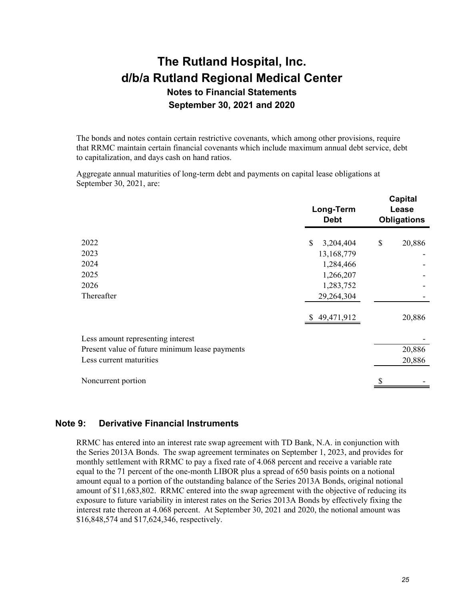The bonds and notes contain certain restrictive covenants, which among other provisions, require that RRMC maintain certain financial covenants which include maximum annual debt service, debt to capitalization, and days cash on hand ratios.

Aggregate annual maturities of long-term debt and payments on capital lease obligations at September 30, 2021, are:

|                                                | Long-Term<br><b>Debt</b> | <b>Capital</b><br>Lease<br><b>Obligations</b> |
|------------------------------------------------|--------------------------|-----------------------------------------------|
| 2022                                           | \$<br>3,204,404          | \$<br>20,886                                  |
| 2023                                           | 13,168,779               |                                               |
| 2024                                           | 1,284,466                |                                               |
| 2025                                           | 1,266,207                |                                               |
| 2026                                           | 1,283,752                |                                               |
| Thereafter                                     | 29,264,304               |                                               |
|                                                | \$49,471,912             | 20,886                                        |
| Less amount representing interest              |                          |                                               |
| Present value of future minimum lease payments |                          | 20,886                                        |
| Less current maturities                        |                          | 20,886                                        |
| Noncurrent portion                             |                          |                                               |

### **Note 9: Derivative Financial Instruments**

RRMC has entered into an interest rate swap agreement with TD Bank, N.A. in conjunction with the Series 2013A Bonds. The swap agreement terminates on September 1, 2023, and provides for monthly settlement with RRMC to pay a fixed rate of 4.068 percent and receive a variable rate equal to the 71 percent of the one-month LIBOR plus a spread of 650 basis points on a notional amount equal to a portion of the outstanding balance of the Series 2013A Bonds, original notional amount of \$11,683,802. RRMC entered into the swap agreement with the objective of reducing its exposure to future variability in interest rates on the Series 2013A Bonds by effectively fixing the interest rate thereon at 4.068 percent. At September 30, 2021 and 2020, the notional amount was \$16,848,574 and \$17,624,346, respectively.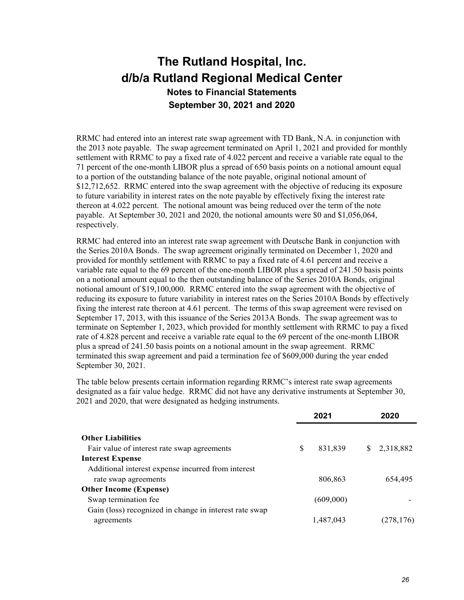RRMC had entered into an interest rate swap agreement with TD Bank, N.A. in conjunction with the 2013 note payable. The swap agreement terminated on April 1, 2021 and provided for monthly settlement with RRMC to pay a fixed rate of 4.022 percent and receive a variable rate equal to the 71 percent of the one-month LIBOR plus a spread of 650 basis points on a notional amount equal to a portion of the outstanding balance of the note payable, original notional amount of \$12,712,652. RRMC entered into the swap agreement with the objective of reducing its exposure to future variability in interest rates on the note payable by effectively fixing the interest rate thereon at 4.022 percent. The notional amount was being reduced over the term of the note payable. At September 30, 2021 and 2020, the notional amounts were \$0 and \$1,056,064, respectively.

RRMC had entered into an interest rate swap agreement with Deutsche Bank in conjunction with the Series 2010A Bonds. The swap agreement originally terminated on December 1, 2020 and provided for monthly settlement with RRMC to pay a fixed rate of 4.61 percent and receive a variable rate equal to the 69 percent of the one-month LIBOR plus a spread of 241.50 basis points on a notional amount equal to the then outstanding balance of the Series 2010A Bonds, original notional amount of \$19,100,000. RRMC entered into the swap agreement with the objective of reducing its exposure to future variability in interest rates on the Series 2010A Bonds by effectively fixing the interest rate thereon at 4.61 percent. The terms of this swap agreement were revised on September 17, 2013, with this issuance of the Series 2013A Bonds. The swap agreement was to terminate on September 1, 2023, which provided for monthly settlement with RRMC to pay a fixed rate of 4.828 percent and receive a variable rate equal to the 69 percent of the one-month LIBOR plus a spread of 241.50 basis points on a notional amount in the swap agreement. RRMC terminated this swap agreement and paid a termination fee of \$609,000 during the year ended September 30, 2021.

The table below presents certain information regarding RRMC's interest rate swap agreements designated as a fair value hedge. RRMC did not have any derivative instruments at September 30, 2021 and 2020, that were designated as hedging instruments.

|                                                        | 2021 |           |   | 2020       |  |
|--------------------------------------------------------|------|-----------|---|------------|--|
|                                                        |      |           |   |            |  |
| <b>Other Liabilities</b>                               |      |           |   |            |  |
| Fair value of interest rate swap agreements            | S    | 831,839   | S | 2,318,882  |  |
| <b>Interest Expense</b>                                |      |           |   |            |  |
| Additional interest expense incurred from interest     |      |           |   |            |  |
| rate swap agreements                                   |      | 806,863   |   | 654.495    |  |
| <b>Other Income (Expense)</b>                          |      |           |   |            |  |
| Swap termination fee                                   |      | (609,000) |   |            |  |
| Gain (loss) recognized in change in interest rate swap |      |           |   |            |  |
| agreements                                             |      | 1,487,043 |   | (278, 176) |  |
|                                                        |      |           |   |            |  |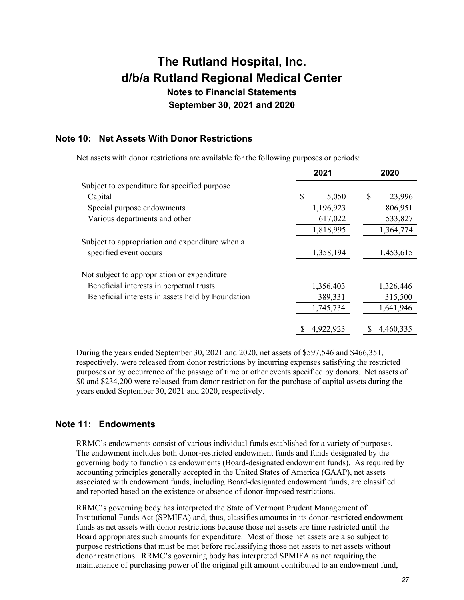# **The Rutland Hospital, Inc. d/b/a Rutland Regional Medical Center Notes to Financial Statements**

**September 30, 2021 and 2020** 

# **Note 10: Net Assets With Donor Restrictions**

Net assets with donor restrictions are available for the following purposes or periods:

|                                                   | 2021      |            | 2020      |
|---------------------------------------------------|-----------|------------|-----------|
| Subject to expenditure for specified purpose      |           |            |           |
| Capital                                           | \$        | S<br>5,050 | 23,996    |
| Special purpose endowments                        | 1,196,923 |            | 806,951   |
| Various departments and other                     |           | 617,022    | 533,827   |
|                                                   | 1,818,995 |            | 1,364,774 |
| Subject to appropriation and expenditure when a   |           |            |           |
| specified event occurs                            | 1,358,194 |            | 1,453,615 |
| Not subject to appropriation or expenditure       |           |            |           |
| Beneficial interests in perpetual trusts          | 1,356,403 |            | 1,326,446 |
| Beneficial interests in assets held by Foundation | 389,331   |            | 315,500   |
|                                                   | 1,745,734 |            | 1,641,946 |
|                                                   | 4,922,923 |            | 4,460,335 |

During the years ended September 30, 2021 and 2020, net assets of \$597,546 and \$466,351, respectively, were released from donor restrictions by incurring expenses satisfying the restricted purposes or by occurrence of the passage of time or other events specified by donors. Net assets of \$0 and \$234,200 were released from donor restriction for the purchase of capital assets during the years ended September 30, 2021 and 2020, respectively.

# **Note 11: Endowments**

RRMC's endowments consist of various individual funds established for a variety of purposes. The endowment includes both donor-restricted endowment funds and funds designated by the governing body to function as endowments (Board-designated endowment funds). As required by accounting principles generally accepted in the United States of America (GAAP), net assets associated with endowment funds, including Board-designated endowment funds, are classified and reported based on the existence or absence of donor-imposed restrictions.

RRMC's governing body has interpreted the State of Vermont Prudent Management of Institutional Funds Act (SPMIFA) and, thus, classifies amounts in its donor-restricted endowment funds as net assets with donor restrictions because those net assets are time restricted until the Board appropriates such amounts for expenditure. Most of those net assets are also subject to purpose restrictions that must be met before reclassifying those net assets to net assets without donor restrictions. RRMC's governing body has interpreted SPMIFA as not requiring the maintenance of purchasing power of the original gift amount contributed to an endowment fund,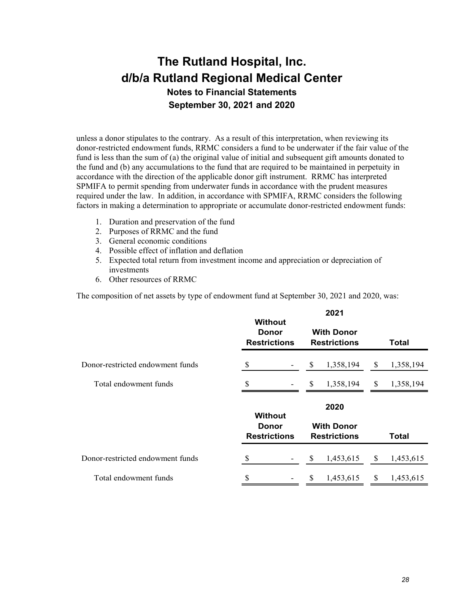unless a donor stipulates to the contrary. As a result of this interpretation, when reviewing its donor-restricted endowment funds, RRMC considers a fund to be underwater if the fair value of the fund is less than the sum of (a) the original value of initial and subsequent gift amounts donated to the fund and (b) any accumulations to the fund that are required to be maintained in perpetuity in accordance with the direction of the applicable donor gift instrument. RRMC has interpreted SPMIFA to permit spending from underwater funds in accordance with the prudent measures required under the law. In addition, in accordance with SPMIFA, RRMC considers the following factors in making a determination to appropriate or accumulate donor-restricted endowment funds:

- 1. Duration and preservation of the fund
- 2. Purposes of RRMC and the fund
- 3. General economic conditions
- 4. Possible effect of inflation and deflation
- 5. Expected total return from investment income and appreciation or depreciation of investments
- 6. Other resources of RRMC

The composition of net assets by type of endowment fund at September 30, 2021 and 2020, was:

|                                  | <b>Without</b><br>Donor<br><b>Restrictions</b>        | 2021<br><b>With Donor</b><br><b>Restrictions</b> | Total                     |
|----------------------------------|-------------------------------------------------------|--------------------------------------------------|---------------------------|
| Donor-restricted endowment funds | $\mathbb{S}$                                          | <sup>\$</sup><br>1,358,194                       | <sup>S</sup><br>1,358,194 |
| Total endowment funds            | \$                                                    | 1,358,194<br>\$                                  | \$<br>1,358,194           |
|                                  | <b>Without</b><br><b>Donor</b><br><b>Restrictions</b> | 2020<br><b>With Donor</b><br><b>Restrictions</b> | Total                     |
| Donor-restricted endowment funds | S                                                     | \$<br>1,453,615                                  | \$<br>1,453,615           |
| Total endowment funds            | \$                                                    | <sup>S</sup><br>1,453,615                        | \$<br>1,453,615           |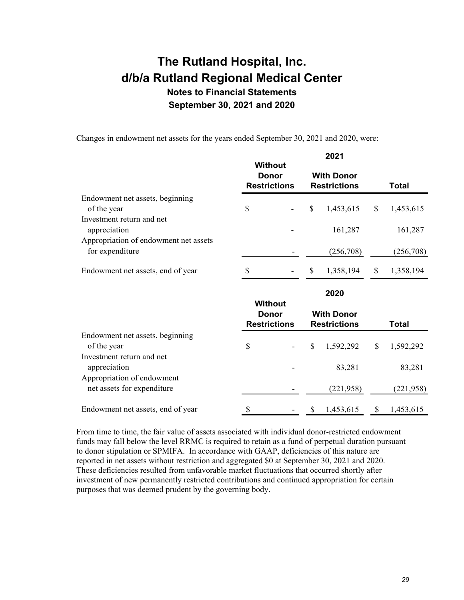Changes in endowment net assets for the years ended September 30, 2021 and 2020, were:

|                                                          | <b>Without</b>                                        | 2021                                     |      |              |
|----------------------------------------------------------|-------------------------------------------------------|------------------------------------------|------|--------------|
|                                                          | <b>Donor</b><br><b>Restrictions</b>                   | <b>With Donor</b><br><b>Restrictions</b> |      | Total        |
| Endowment net assets, beginning<br>of the year           | \$                                                    | \$<br>1,453,615                          | $\$$ | 1,453,615    |
| Investment return and net                                |                                                       |                                          |      |              |
| appreciation<br>Appropriation of endowment net assets    |                                                       | 161,287                                  |      | 161,287      |
| for expenditure                                          |                                                       | (256,708)                                |      | (256,708)    |
| Endowment net assets, end of year                        |                                                       | \$<br>1,358,194                          | \$   | 1,358,194    |
|                                                          |                                                       | 2020                                     |      |              |
|                                                          |                                                       |                                          |      |              |
|                                                          | <b>Without</b><br><b>Donor</b><br><b>Restrictions</b> | <b>With Donor</b><br><b>Restrictions</b> |      | <b>Total</b> |
| Endowment net assets, beginning<br>of the year           | \$                                                    | \$<br>1,592,292                          | \$   | 1,592,292    |
| Investment return and net<br>appreciation                |                                                       | 83,281                                   |      | 83,281       |
| Appropriation of endowment<br>net assets for expenditure |                                                       | (221, 958)                               |      | (221, 958)   |

From time to time, the fair value of assets associated with individual donor-restricted endowment funds may fall below the level RRMC is required to retain as a fund of perpetual duration pursuant to donor stipulation or SPMIFA. In accordance with GAAP, deficiencies of this nature are reported in net assets without restriction and aggregated \$0 at September 30, 2021 and 2020. These deficiencies resulted from unfavorable market fluctuations that occurred shortly after investment of new permanently restricted contributions and continued appropriation for certain purposes that was deemed prudent by the governing body.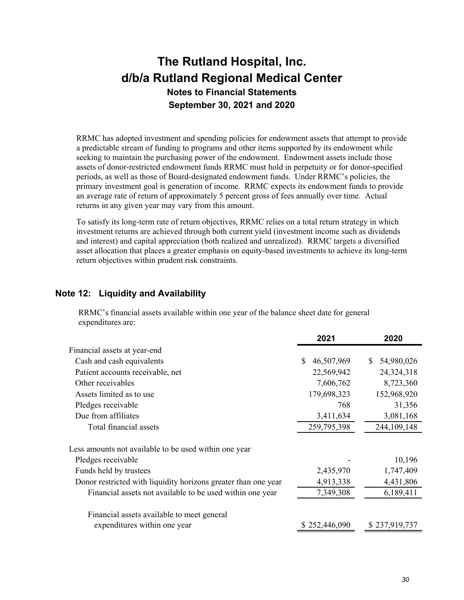RRMC has adopted investment and spending policies for endowment assets that attempt to provide a predictable stream of funding to programs and other items supported by its endowment while seeking to maintain the purchasing power of the endowment. Endowment assets include those assets of donor-restricted endowment funds RRMC must hold in perpetuity or for donor-specified periods, as well as those of Board-designated endowment funds. Under RRMC's policies, the primary investment goal is generation of income. RRMC expects its endowment funds to provide an average rate of return of approximately 5 percent gross of fees annually over time. Actual returns in any given year may vary from this amount.

To satisfy its long-term rate of return objectives, RRMC relies on a total return strategy in which investment returns are achieved through both current yield (investment income such as dividends and interest) and capital appreciation (both realized and unrealized). RRMC targets a diversified asset allocation that places a greater emphasis on equity-based investments to achieve its long-term return objectives within prudent risk constraints.

## **Note 12: Liquidity and Availability**

RRMC's financial assets available within one year of the balance sheet date for general expenditures are:

|                                                                | 2021             | 2020             |
|----------------------------------------------------------------|------------------|------------------|
| Financial assets at year-end                                   |                  |                  |
| Cash and cash equivalents                                      | \$<br>46,507,969 | 54,980,026<br>S. |
| Patient accounts receivable, net                               | 22,569,942       | 24,324,318       |
| Other receivables                                              | 7,606,762        | 8,723,360        |
| Assets limited as to use                                       | 179,698,323      | 152,968,920      |
| Pledges receivable                                             | 768              | 31,356           |
| Due from affiliates                                            | 3,411,634        | 3,081,168        |
| Total financial assets                                         | 259,795,398      | 244,109,148      |
| Less amounts not available to be used within one year          |                  |                  |
| Pledges receivable                                             |                  | 10,196           |
| Funds held by trustees                                         | 2,435,970        | 1,747,409        |
| Donor restricted with liquidity horizons greater than one year | 4,913,338        | 4,431,806        |
| Financial assets not available to be used within one year      | 7,349,308        | 6,189,411        |
| Financial assets available to meet general                     |                  |                  |
| expenditures within one year                                   | \$252,446,090    | \$237,919,737    |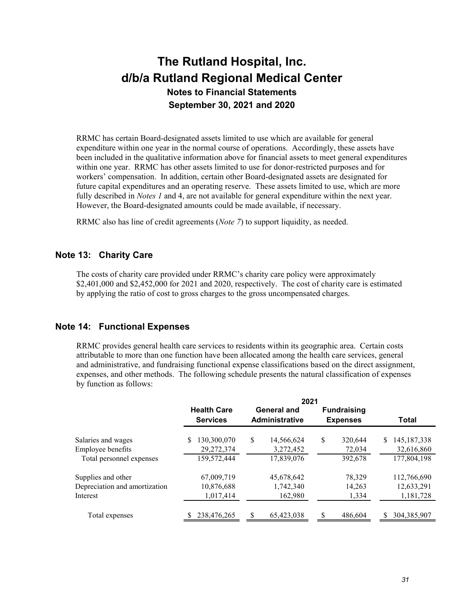RRMC has certain Board-designated assets limited to use which are available for general expenditure within one year in the normal course of operations. Accordingly, these assets have been included in the qualitative information above for financial assets to meet general expenditures within one year. RRMC has other assets limited to use for donor-restricted purposes and for workers' compensation. In addition, certain other Board-designated assets are designated for future capital expenditures and an operating reserve. These assets limited to use, which are more fully described in *Notes 1* and 4, are not available for general expenditure within the next year. However, the Board-designated amounts could be made available, if necessary.

RRMC also has line of credit agreements (*Note 7*) to support liquidity, as needed.

### **Note 13: Charity Care**

The costs of charity care provided under RRMC's charity care policy were approximately \$2,401,000 and \$2,452,000 for 2021 and 2020, respectively. The cost of charity care is estimated by applying the ratio of cost to gross charges to the gross uncompensated charges.

### **Note 14: Functional Expenses**

RRMC provides general health care services to residents within its geographic area. Certain costs attributable to more than one function have been allocated among the health care services, general and administrative, and fundraising functional expense classifications based on the direct assignment, expenses, and other methods. The following schedule presents the natural classification of expenses by function as follows:

|                               | 2021               |                        |                    |                     |  |
|-------------------------------|--------------------|------------------------|--------------------|---------------------|--|
|                               | <b>Health Care</b> | General and            | <b>Fundraising</b> |                     |  |
|                               | <b>Services</b>    | <b>Administrative</b>  | <b>Expenses</b>    | <b>Total</b>        |  |
| Salaries and wages            | S<br>130,300,070   | \$<br>14,566,624       | S<br>320,644       | 145, 187, 338<br>S  |  |
| Employee benefits             | 29,272,374         | 3,272,452              | 72,034             | 32,616,860          |  |
| Total personnel expenses      | 159,572,444        | 17,839,076             | 392,678            | 177,804,198         |  |
| Supplies and other            | 67,009,719         | 45,678,642             | 78,329             | 112,766,690         |  |
| Depreciation and amortization | 10,876,688         | 1,742,340              | 14,263             | 12,633,291          |  |
| Interest                      | 1,017,414          | 162,980                | 1,334              | 1,181,728           |  |
| Total expenses                | 238,476,265        | <b>S</b><br>65,423,038 | 486,604            | 304, 385, 907<br>S. |  |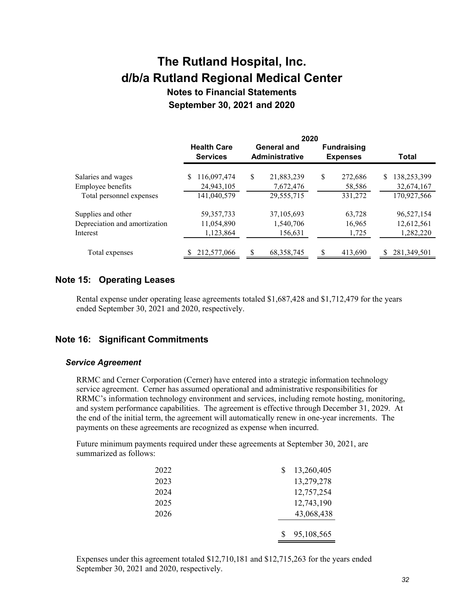# **The Rutland Hospital, Inc. d/b/a Rutland Regional Medical Center**

**Notes to Financial Statements September 30, 2021 and 2020** 

|                               | 2020                                  |                                      |                                       |                   |  |
|-------------------------------|---------------------------------------|--------------------------------------|---------------------------------------|-------------------|--|
|                               | <b>Health Care</b><br><b>Services</b> | General and<br><b>Administrative</b> | <b>Fundraising</b><br><b>Expenses</b> | Total             |  |
| Salaries and wages            | 116,097,474<br>S                      | S<br>21,883,239                      | \$<br>272,686                         | 138,253,399<br>\$ |  |
| Employee benefits             | 24,943,105                            | 7,672,476                            | 58,586                                | 32,674,167        |  |
| Total personnel expenses      | 141,040,579                           | 29,555,715                           | 331,272                               | 170,927,566       |  |
| Supplies and other            | 59, 357, 733                          | 37,105,693                           | 63,728                                | 96,527,154        |  |
| Depreciation and amortization | 11,054,890                            | 1,540,706                            | 16,965                                | 12,612,561        |  |
| Interest                      | 1,123,864                             | 156,631                              | 1,725                                 | 1,282,220         |  |
| Total expenses                | 212,577,066                           | S<br>68, 358, 745                    | 413,690                               | 281,349,501<br>\$ |  |

## **Note 15: Operating Leases**

Rental expense under operating lease agreements totaled \$1,687,428 and \$1,712,479 for the years ended September 30, 2021 and 2020, respectively.

# **Note 16: Significant Commitments**

#### *Service Agreement*

RRMC and Cerner Corporation (Cerner) have entered into a strategic information technology service agreement. Cerner has assumed operational and administrative responsibilities for RRMC's information technology environment and services, including remote hosting, monitoring, and system performance capabilities. The agreement is effective through December 31, 2029. At the end of the initial term, the agreement will automatically renew in one-year increments. The payments on these agreements are recognized as expense when incurred.

Future minimum payments required under these agreements at September 30, 2021, are summarized as follows:

| 2022 | 13,260,405 |
|------|------------|
| 2023 | 13,279,278 |
| 2024 | 12,757,254 |
| 2025 | 12,743,190 |
| 2026 | 43,068,438 |
|      |            |
|      | 95,108,565 |

Expenses under this agreement totaled \$12,710,181 and \$12,715,263 for the years ended September 30, 2021 and 2020, respectively.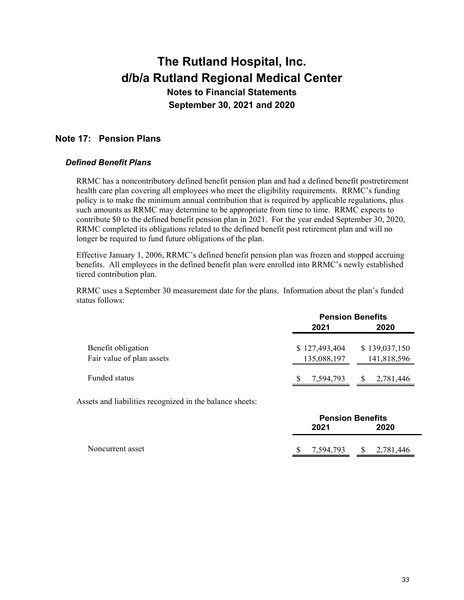# **Note 17: Pension Plans**

### *Defined Benefit Plans*

RRMC has a noncontributory defined benefit pension plan and had a defined benefit postretirement health care plan covering all employees who meet the eligibility requirements. RRMC's funding policy is to make the minimum annual contribution that is required by applicable regulations, plus such amounts as RRMC may determine to be appropriate from time to time. RRMC expects to contribute \$0 to the defined benefit pension plan in 2021. For the year ended September 30, 2020, RRMC completed its obligations related to the defined benefit post retirement plan and will no longer be required to fund future obligations of the plan.

Effective January 1, 2006, RRMC's defined benefit pension plan was frozen and stopped accruing benefits. All employees in the defined benefit plan were enrolled into RRMC's newly established tiered contribution plan.

RRMC uses a September 30 measurement date for the plans. Information about the plan's funded status follows:

|                           | <b>Pension Benefits</b> |                  |  |  |
|---------------------------|-------------------------|------------------|--|--|
|                           | 2021                    | 2020             |  |  |
|                           |                         |                  |  |  |
| Benefit obligation        | \$127,493,404           | \$139,037,150    |  |  |
| Fair value of plan assets | 135,088,197             | 141,818,596      |  |  |
|                           |                         |                  |  |  |
| Funded status             | 7,594,793<br><b>S</b>   | 2,781,446<br>-SS |  |  |
|                           |                         |                  |  |  |

Assets and liabilities recognized in the balance sheets:

|                  | <b>Pension Benefits</b> |           |      |                           |  |
|------------------|-------------------------|-----------|------|---------------------------|--|
|                  | 2021                    |           | 2020 |                           |  |
|                  |                         |           |      |                           |  |
| Noncurrent asset |                         | 7,594,793 |      | $\frac{1}{2}$ , 2,781,446 |  |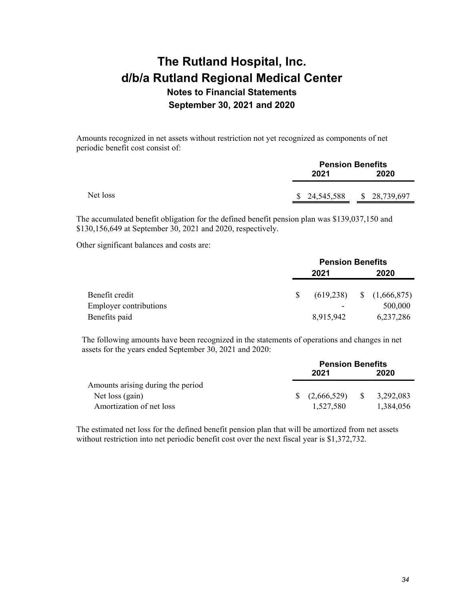Amounts recognized in net assets without restriction not yet recognized as components of net periodic benefit cost consist of:

|          | <b>Pension Benefits</b> |               |  |
|----------|-------------------------|---------------|--|
|          | 2021                    | 2020          |  |
| Net loss | \$24,545,588            | \$ 28,739,697 |  |
|          |                         |               |  |

The accumulated benefit obligation for the defined benefit pension plan was \$139,037,150 and \$130,156,649 at September 30, 2021 and 2020, respectively.

Other significant balances and costs are:

| <b>Pension Benefits</b> |           |      |                              |
|-------------------------|-----------|------|------------------------------|
| 2021                    |           | 2020 |                              |
|                         |           |      |                              |
|                         |           |      |                              |
|                         |           |      | 500,000                      |
|                         | 8,915,942 |      | 6,237,286                    |
|                         |           |      | $(619,238)$ \$ $(1,666,875)$ |

The following amounts have been recognized in the statements of operations and changes in net assets for the years ended September 30, 2021 and 2020:

|                                   | <b>Pension Benefits</b> |             |    |           |
|-----------------------------------|-------------------------|-------------|----|-----------|
|                                   |                         | 2021        |    | 2020      |
| Amounts arising during the period |                         |             |    |           |
| Net loss (gain)                   | $S^{\pm}$               | (2,666,529) | -S | 3,292,083 |
| Amortization of net loss          |                         | 1,527,580   |    | 1,384,056 |

The estimated net loss for the defined benefit pension plan that will be amortized from net assets without restriction into net periodic benefit cost over the next fiscal year is \$1,372,732.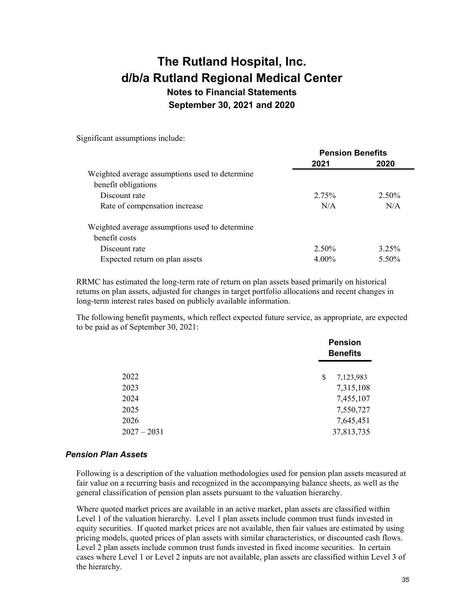# **The Rutland Hospital, Inc. d/b/a Rutland Regional Medical Center Notes to Financial Statements**

**September 30, 2021 and 2020** 

Significant assumptions include:

|                                                | <b>Pension Benefits</b> |          |  |
|------------------------------------------------|-------------------------|----------|--|
|                                                | 2021                    | 2020     |  |
| Weighted average assumptions used to determine |                         |          |  |
| benefit obligations                            |                         |          |  |
| Discount rate                                  | 2.75%                   | 2.50%    |  |
| Rate of compensation increase                  | N/A                     | N/A      |  |
| Weighted average assumptions used to determine |                         |          |  |
| benefit costs                                  |                         |          |  |
| Discount rate                                  | $2.50\%$                | $3.25\%$ |  |
| Expected return on plan assets                 | $4.00\%$                | 5.50%    |  |

RRMC has estimated the long-term rate of return on plan assets based primarily on historical returns on plan assets, adjusted for changes in target portfolio allocations and recent changes in long-term interest rates based on publicly available information.

The following benefit payments, which reflect expected future service, as appropriate, are expected to be paid as of September 30, 2021:

|               | <b>Pension</b><br><b>Benefits</b> |  |
|---------------|-----------------------------------|--|
| 2022          | \$<br>7,123,983                   |  |
| 2023          | 7,315,108                         |  |
| 2024          | 7,455,107                         |  |
| 2025          | 7,550,727                         |  |
| 2026          | 7,645,451                         |  |
| $2027 - 2031$ | 37,813,735                        |  |

#### *Pension Plan Assets*

Following is a description of the valuation methodologies used for pension plan assets measured at fair value on a recurring basis and recognized in the accompanying balance sheets, as well as the general classification of pension plan assets pursuant to the valuation hierarchy.

Where quoted market prices are available in an active market, plan assets are classified within Level 1 of the valuation hierarchy. Level 1 plan assets include common trust funds invested in equity securities. If quoted market prices are not available, then fair values are estimated by using pricing models, quoted prices of plan assets with similar characteristics, or discounted cash flows. Level 2 plan assets include common trust funds invested in fixed income securities. In certain cases where Level 1 or Level 2 inputs are not available, plan assets are classified within Level 3 of the hierarchy.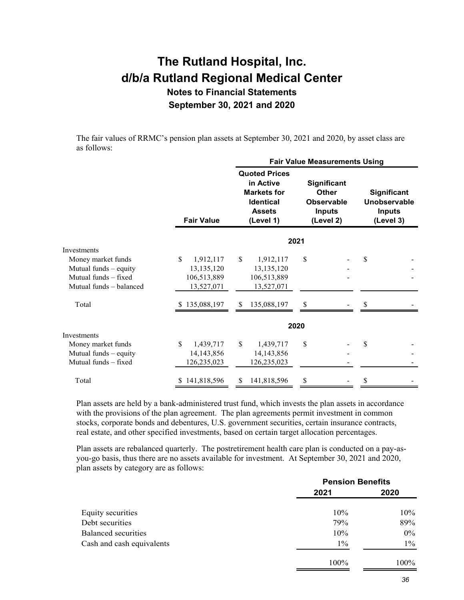The fair values of RRMC's pension plan assets at September 30, 2021 and 2020, by asset class are as follows:

|                         |                   | <b>Fair Value Measurements Using</b>                                                                      |                                                                                       |                                                           |  |
|-------------------------|-------------------|-----------------------------------------------------------------------------------------------------------|---------------------------------------------------------------------------------------|-----------------------------------------------------------|--|
|                         | <b>Fair Value</b> | <b>Quoted Prices</b><br>in Active<br><b>Markets for</b><br><b>Identical</b><br><b>Assets</b><br>(Level 1) | <b>Significant</b><br><b>Other</b><br><b>Observable</b><br><b>Inputs</b><br>(Level 2) | Significant<br>Unobservable<br><b>Inputs</b><br>(Level 3) |  |
|                         |                   |                                                                                                           | 2021                                                                                  |                                                           |  |
| Investments             |                   |                                                                                                           |                                                                                       |                                                           |  |
| Money market funds      | \$<br>1,912,117   | \$<br>1,912,117                                                                                           | \$                                                                                    | \$                                                        |  |
| Mutual funds - equity   | 13,135,120        | 13,135,120                                                                                                |                                                                                       |                                                           |  |
| Mutual funds - fixed    | 106,513,889       | 106,513,889                                                                                               |                                                                                       |                                                           |  |
| Mutual funds - balanced | 13,527,071        | 13,527,071                                                                                                |                                                                                       |                                                           |  |
| Total                   | 135,088,197       | 135,088,197<br>S                                                                                          | \$                                                                                    | S                                                         |  |
|                         |                   |                                                                                                           | 2020                                                                                  |                                                           |  |
| Investments             |                   |                                                                                                           |                                                                                       |                                                           |  |
| Money market funds      | \$<br>1,439,717   | \$<br>1,439,717                                                                                           | \$                                                                                    | \$                                                        |  |
| Mutual funds - equity   | 14, 143, 856      | 14, 143, 856                                                                                              |                                                                                       |                                                           |  |
| Mutual funds - fixed    | 126,235,023       | 126,235,023                                                                                               |                                                                                       |                                                           |  |
| Total                   | 141,818,596<br>S. | 141,818,596<br>\$                                                                                         | \$                                                                                    | \$                                                        |  |

Plan assets are held by a bank-administered trust fund, which invests the plan assets in accordance with the provisions of the plan agreement. The plan agreements permit investment in common stocks, corporate bonds and debentures, U.S. government securities, certain insurance contracts, real estate, and other specified investments, based on certain target allocation percentages.

Plan assets are rebalanced quarterly. The postretirement health care plan is conducted on a pay-asyou-go basis, thus there are no assets available for investment. At September 30, 2021 and 2020, plan assets by category are as follows:

|                           | <b>Pension Benefits</b> |       |  |
|---------------------------|-------------------------|-------|--|
|                           | 2021                    | 2020  |  |
| Equity securities         | $10\%$                  | 10%   |  |
| Debt securities           | 79%                     | 89%   |  |
| Balanced securities       | $10\%$                  | $0\%$ |  |
| Cash and cash equivalents | $1\%$                   | $1\%$ |  |
|                           | 100%                    | 100%  |  |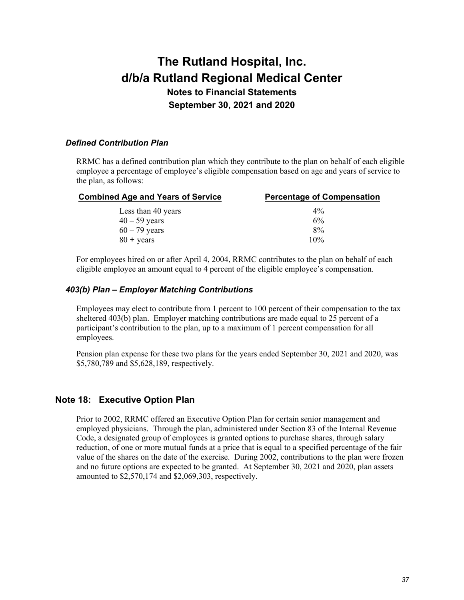### *Defined Contribution Plan*

RRMC has a defined contribution plan which they contribute to the plan on behalf of each eligible employee a percentage of employee's eligible compensation based on age and years of service to the plan, as follows:

| <b>Combined Age and Years of Service</b> | <b>Percentage of Compensation</b> |  |  |  |  |
|------------------------------------------|-----------------------------------|--|--|--|--|
| Less than 40 years                       | $4\%$                             |  |  |  |  |
| $40 - 59$ years                          | 6%                                |  |  |  |  |
| $60 - 79$ years                          | 8%                                |  |  |  |  |
| $80 + \text{years}$                      | 10%                               |  |  |  |  |

For employees hired on or after April 4, 2004, RRMC contributes to the plan on behalf of each eligible employee an amount equal to 4 percent of the eligible employee's compensation.

#### *403(b) Plan – Employer Matching Contributions*

Employees may elect to contribute from 1 percent to 100 percent of their compensation to the tax sheltered 403(b) plan. Employer matching contributions are made equal to 25 percent of a participant's contribution to the plan, up to a maximum of 1 percent compensation for all employees.

Pension plan expense for these two plans for the years ended September 30, 2021 and 2020, was \$5,780,789 and \$5,628,189, respectively.

### **Note 18: Executive Option Plan**

Prior to 2002, RRMC offered an Executive Option Plan for certain senior management and employed physicians. Through the plan, administered under Section 83 of the Internal Revenue Code, a designated group of employees is granted options to purchase shares, through salary reduction, of one or more mutual funds at a price that is equal to a specified percentage of the fair value of the shares on the date of the exercise. During 2002, contributions to the plan were frozen and no future options are expected to be granted. At September 30, 2021 and 2020, plan assets amounted to \$2,570,174 and \$2,069,303, respectively.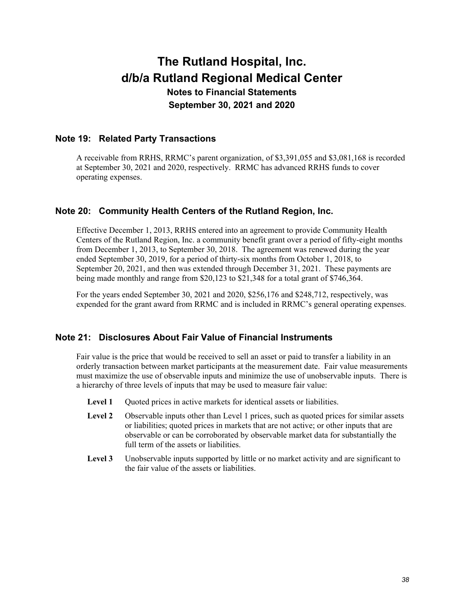### **Note 19: Related Party Transactions**

A receivable from RRHS, RRMC's parent organization, of \$3,391,055 and \$3,081,168 is recorded at September 30, 2021 and 2020, respectively. RRMC has advanced RRHS funds to cover operating expenses.

## **Note 20: Community Health Centers of the Rutland Region, Inc.**

Effective December 1, 2013, RRHS entered into an agreement to provide Community Health Centers of the Rutland Region, Inc. a community benefit grant over a period of fifty-eight months from December 1, 2013, to September 30, 2018. The agreement was renewed during the year ended September 30, 2019, for a period of thirty-six months from October 1, 2018, to September 20, 2021, and then was extended through December 31, 2021. These payments are being made monthly and range from \$20,123 to \$21,348 for a total grant of \$746,364.

For the years ended September 30, 2021 and 2020, \$256,176 and \$248,712, respectively, was expended for the grant award from RRMC and is included in RRMC's general operating expenses.

### **Note 21: Disclosures About Fair Value of Financial Instruments**

Fair value is the price that would be received to sell an asset or paid to transfer a liability in an orderly transaction between market participants at the measurement date. Fair value measurements must maximize the use of observable inputs and minimize the use of unobservable inputs. There is a hierarchy of three levels of inputs that may be used to measure fair value:

- Level 1 Quoted prices in active markets for identical assets or liabilities.
- Level 2 Observable inputs other than Level 1 prices, such as quoted prices for similar assets or liabilities; quoted prices in markets that are not active; or other inputs that are observable or can be corroborated by observable market data for substantially the full term of the assets or liabilities.
- Level 3 Unobservable inputs supported by little or no market activity and are significant to the fair value of the assets or liabilities.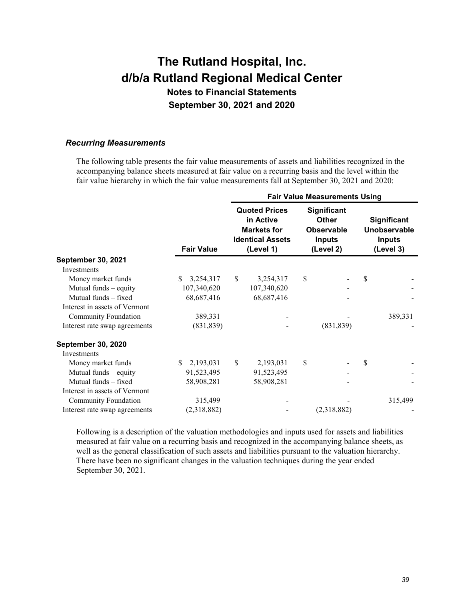# **The Rutland Hospital, Inc. d/b/a Rutland Regional Medical Center Notes to Financial Statements**

**September 30, 2021 and 2020** 

#### *Recurring Measurements*

The following table presents the fair value measurements of assets and liabilities recognized in the accompanying balance sheets measured at fair value on a recurring basis and the level within the fair value hierarchy in which the fair value measurements fall at September 30, 2021 and 2020:

|                               |                   |    | <b>Fair Value Measurements Using</b>                                                            |    |                                                                                |    |                                                           |  |
|-------------------------------|-------------------|----|-------------------------------------------------------------------------------------------------|----|--------------------------------------------------------------------------------|----|-----------------------------------------------------------|--|
|                               | <b>Fair Value</b> |    | <b>Quoted Prices</b><br>in Active<br><b>Markets for</b><br><b>Identical Assets</b><br>(Level 1) |    | Significant<br><b>Other</b><br><b>Observable</b><br><b>Inputs</b><br>(Level 2) |    | Significant<br>Unobservable<br><b>Inputs</b><br>(Level 3) |  |
| <b>September 30, 2021</b>     |                   |    |                                                                                                 |    |                                                                                |    |                                                           |  |
| <b>Investments</b>            |                   |    |                                                                                                 |    |                                                                                |    |                                                           |  |
| Money market funds            | 3,254,317<br>\$.  | \$ | 3,254,317                                                                                       | \$ |                                                                                | \$ |                                                           |  |
| Mutual funds - equity         | 107,340,620       |    | 107,340,620                                                                                     |    |                                                                                |    |                                                           |  |
| Mutual funds - fixed          | 68, 687, 416      |    | 68, 687, 416                                                                                    |    |                                                                                |    |                                                           |  |
| Interest in assets of Vermont |                   |    |                                                                                                 |    |                                                                                |    |                                                           |  |
| <b>Community Foundation</b>   | 389,331           |    |                                                                                                 |    |                                                                                |    | 389,331                                                   |  |
| Interest rate swap agreements | (831, 839)        |    |                                                                                                 |    | (831, 839)                                                                     |    |                                                           |  |
| <b>September 30, 2020</b>     |                   |    |                                                                                                 |    |                                                                                |    |                                                           |  |
| <b>Investments</b>            |                   |    |                                                                                                 |    |                                                                                |    |                                                           |  |
| Money market funds            | 2,193,031<br>S.   | \$ | 2,193,031                                                                                       | \$ |                                                                                | \$ |                                                           |  |
| Mutual funds $-$ equity       | 91,523,495        |    | 91,523,495                                                                                      |    |                                                                                |    |                                                           |  |
| Mutual funds - fixed          | 58,908,281        |    | 58,908,281                                                                                      |    |                                                                                |    |                                                           |  |
| Interest in assets of Vermont |                   |    |                                                                                                 |    |                                                                                |    |                                                           |  |
| <b>Community Foundation</b>   | 315,499           |    |                                                                                                 |    |                                                                                |    | 315,499                                                   |  |
| Interest rate swap agreements | (2,318,882)       |    |                                                                                                 |    | (2,318,882)                                                                    |    |                                                           |  |

Following is a description of the valuation methodologies and inputs used for assets and liabilities measured at fair value on a recurring basis and recognized in the accompanying balance sheets, as well as the general classification of such assets and liabilities pursuant to the valuation hierarchy. There have been no significant changes in the valuation techniques during the year ended September 30, 2021.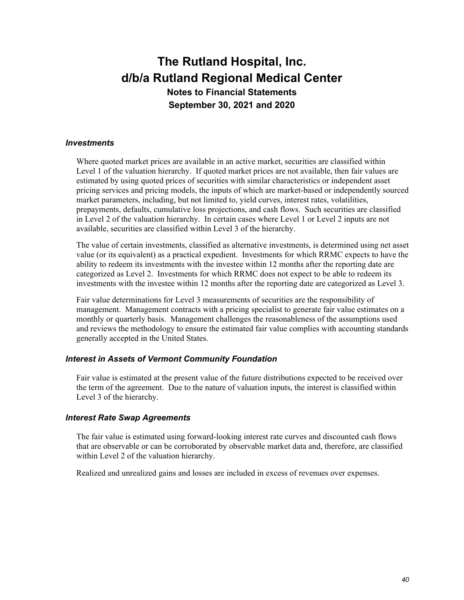### *Investments*

Where quoted market prices are available in an active market, securities are classified within Level 1 of the valuation hierarchy. If quoted market prices are not available, then fair values are estimated by using quoted prices of securities with similar characteristics or independent asset pricing services and pricing models, the inputs of which are market-based or independently sourced market parameters, including, but not limited to, yield curves, interest rates, volatilities, prepayments, defaults, cumulative loss projections, and cash flows. Such securities are classified in Level 2 of the valuation hierarchy. In certain cases where Level 1 or Level 2 inputs are not available, securities are classified within Level 3 of the hierarchy.

The value of certain investments, classified as alternative investments, is determined using net asset value (or its equivalent) as a practical expedient. Investments for which RRMC expects to have the ability to redeem its investments with the investee within 12 months after the reporting date are categorized as Level 2. Investments for which RRMC does not expect to be able to redeem its investments with the investee within 12 months after the reporting date are categorized as Level 3.

Fair value determinations for Level 3 measurements of securities are the responsibility of management. Management contracts with a pricing specialist to generate fair value estimates on a monthly or quarterly basis. Management challenges the reasonableness of the assumptions used and reviews the methodology to ensure the estimated fair value complies with accounting standards generally accepted in the United States.

### *Interest in Assets of Vermont Community Foundation*

Fair value is estimated at the present value of the future distributions expected to be received over the term of the agreement. Due to the nature of valuation inputs, the interest is classified within Level 3 of the hierarchy.

#### *Interest Rate Swap Agreements*

The fair value is estimated using forward-looking interest rate curves and discounted cash flows that are observable or can be corroborated by observable market data and, therefore, are classified within Level 2 of the valuation hierarchy.

Realized and unrealized gains and losses are included in excess of revenues over expenses.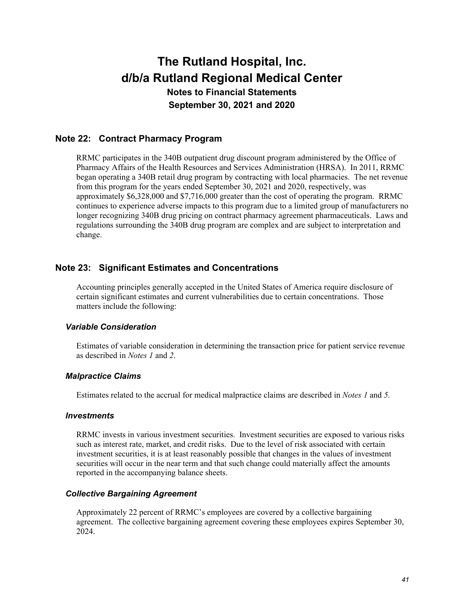## **Note 22: Contract Pharmacy Program**

RRMC participates in the 340B outpatient drug discount program administered by the Office of Pharmacy Affairs of the Health Resources and Services Administration (HRSA). In 2011, RRMC began operating a 340B retail drug program by contracting with local pharmacies. The net revenue from this program for the years ended September 30, 2021 and 2020, respectively, was approximately \$6,328,000 and \$7,716,000 greater than the cost of operating the program. RRMC continues to experience adverse impacts to this program due to a limited group of manufacturers no longer recognizing 340B drug pricing on contract pharmacy agreement pharmaceuticals. Laws and regulations surrounding the 340B drug program are complex and are subject to interpretation and change.

### **Note 23: Significant Estimates and Concentrations**

Accounting principles generally accepted in the United States of America require disclosure of certain significant estimates and current vulnerabilities due to certain concentrations. Those matters include the following:

#### *Variable Consideration*

Estimates of variable consideration in determining the transaction price for patient service revenue as described in *Notes 1* and *2*.

#### *Malpractice Claims*

Estimates related to the accrual for medical malpractice claims are described in *Notes 1* and *5.* 

#### *Investments*

RRMC invests in various investment securities. Investment securities are exposed to various risks such as interest rate, market, and credit risks. Due to the level of risk associated with certain investment securities, it is at least reasonably possible that changes in the values of investment securities will occur in the near term and that such change could materially affect the amounts reported in the accompanying balance sheets.

### *Collective Bargaining Agreement*

Approximately 22 percent of RRMC's employees are covered by a collective bargaining agreement. The collective bargaining agreement covering these employees expires September 30, 2024.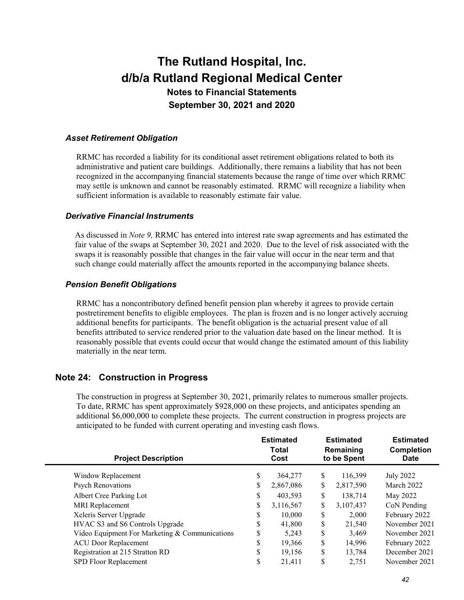### *Asset Retirement Obligation*

RRMC has recorded a liability for its conditional asset retirement obligations related to both its administrative and patient care buildings. Additionally, there remains a liability that has not been recognized in the accompanying financial statements because the range of time over which RRMC may settle is unknown and cannot be reasonably estimated. RRMC will recognize a liability when sufficient information is available to reasonably estimate fair value.

#### *Derivative Financial Instruments*

As discussed in *Note 9,* RRMC has entered into interest rate swap agreements and has estimated the fair value of the swaps at September 30, 2021 and 2020. Due to the level of risk associated with the swaps it is reasonably possible that changes in the fair value will occur in the near term and that such change could materially affect the amounts reported in the accompanying balance sheets.

### *Pension Benefit Obligations*

RRMC has a noncontributory defined benefit pension plan whereby it agrees to provide certain postretirement benefits to eligible employees. The plan is frozen and is no longer actively accruing additional benefits for participants. The benefit obligation is the actuarial present value of all benefits attributed to service rendered prior to the valuation date based on the linear method. It is reasonably possible that events could occur that would change the estimated amount of this liability materially in the near term.

# **Note 24: Construction in Progress**

The construction in progress at September 30, 2021, primarily relates to numerous smaller projects. To date, RRMC has spent approximately \$928,000 on these projects, and anticipates spending an additional \$6,000,000 to complete these projects. The current construction in progress projects are anticipated to be funded with current operating and investing cash flows.

| <b>Estimated</b><br>Total<br>Cost |           | <b>Estimated</b><br>Remaining<br>to be Spent |           | <b>Estimated</b><br><b>Completion</b><br><b>Date</b> |  |
|-----------------------------------|-----------|----------------------------------------------|-----------|------------------------------------------------------|--|
| \$                                | 364,277   | \$                                           | 116,399   | July 2022                                            |  |
| \$                                | 2,867,086 | \$                                           | 2,817,590 | March 2022                                           |  |
| \$                                | 403,593   | \$                                           | 138,714   | May 2022                                             |  |
| \$                                | 3,116,567 | \$                                           | 3,107,437 | CoN Pending                                          |  |
| \$                                | 10,000    | \$                                           | 2,000     | February 2022                                        |  |
| \$                                | 41,800    | \$                                           | 21,540    | November 2021                                        |  |
| S                                 | 5,243     | \$                                           | 3,469     | November 2021                                        |  |
| \$                                | 19,366    | \$                                           | 14,996    | February 2022                                        |  |
| \$                                | 19,156    | \$                                           | 13,784    | December 2021                                        |  |
| \$                                | 21.411    | S                                            | 2,751     | November 2021                                        |  |
|                                   |           |                                              |           |                                                      |  |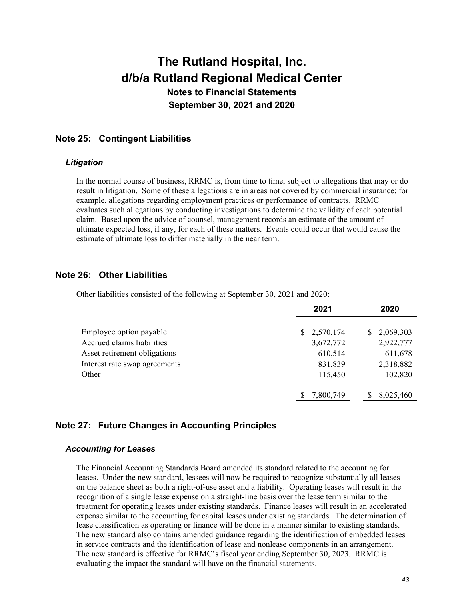### **Note 25: Contingent Liabilities**

#### *Litigation*

In the normal course of business, RRMC is, from time to time, subject to allegations that may or do result in litigation. Some of these allegations are in areas not covered by commercial insurance; for example, allegations regarding employment practices or performance of contracts. RRMC evaluates such allegations by conducting investigations to determine the validity of each potential claim. Based upon the advice of counsel, management records an estimate of the amount of ultimate expected loss, if any, for each of these matters. Events could occur that would cause the estimate of ultimate loss to differ materially in the near term.

### **Note 26: Other Liabilities**

Other liabilities consisted of the following at September 30, 2021 and 2020:

|                               | 2021        | 2020            |  |  |
|-------------------------------|-------------|-----------------|--|--|
|                               |             |                 |  |  |
| Employee option payable       | \$2,570,174 | 2,069,303<br>S. |  |  |
| Accrued claims liabilities    | 3,672,772   | 2,922,777       |  |  |
| Asset retirement obligations  | 610,514     | 611,678         |  |  |
| Interest rate swap agreements | 831,839     | 2,318,882       |  |  |
| Other                         | 115,450     | 102,820         |  |  |
|                               |             |                 |  |  |
|                               | 7,800,749   | 8,025,460<br>S  |  |  |

### **Note 27: Future Changes in Accounting Principles**

### *Accounting for Leases*

The Financial Accounting Standards Board amended its standard related to the accounting for leases. Under the new standard, lessees will now be required to recognize substantially all leases on the balance sheet as both a right-of-use asset and a liability. Operating leases will result in the recognition of a single lease expense on a straight-line basis over the lease term similar to the treatment for operating leases under existing standards. Finance leases will result in an accelerated expense similar to the accounting for capital leases under existing standards. The determination of lease classification as operating or finance will be done in a manner similar to existing standards. The new standard also contains amended guidance regarding the identification of embedded leases in service contracts and the identification of lease and nonlease components in an arrangement. The new standard is effective for RRMC's fiscal year ending September 30, 2023. RRMC is evaluating the impact the standard will have on the financial statements.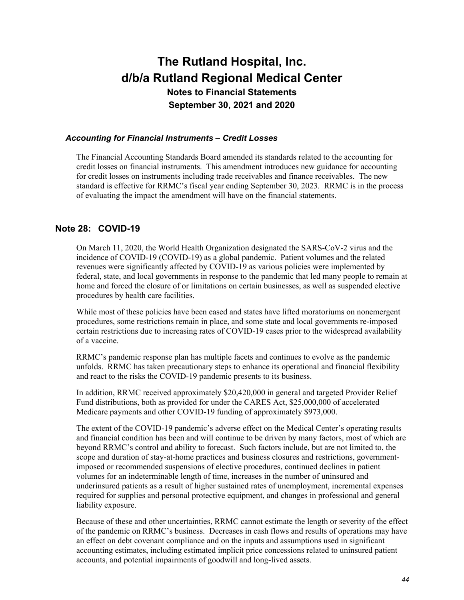#### *Accounting for Financial Instruments – Credit Losses*

The Financial Accounting Standards Board amended its standards related to the accounting for credit losses on financial instruments. This amendment introduces new guidance for accounting for credit losses on instruments including trade receivables and finance receivables. The new standard is effective for RRMC's fiscal year ending September 30, 2023. RRMC is in the process of evaluating the impact the amendment will have on the financial statements.

### **Note 28: COVID-19**

On March 11, 2020, the World Health Organization designated the SARS-CoV-2 virus and the incidence of COVID-19 (COVID-19) as a global pandemic. Patient volumes and the related revenues were significantly affected by COVID-19 as various policies were implemented by federal, state, and local governments in response to the pandemic that led many people to remain at home and forced the closure of or limitations on certain businesses, as well as suspended elective procedures by health care facilities.

While most of these policies have been eased and states have lifted moratoriums on nonemergent procedures, some restrictions remain in place, and some state and local governments re-imposed certain restrictions due to increasing rates of COVID-19 cases prior to the widespread availability of a vaccine.

RRMC's pandemic response plan has multiple facets and continues to evolve as the pandemic unfolds. RRMC has taken precautionary steps to enhance its operational and financial flexibility and react to the risks the COVID-19 pandemic presents to its business.

In addition, RRMC received approximately \$20,420,000 in general and targeted Provider Relief Fund distributions, both as provided for under the CARES Act, \$25,000,000 of accelerated Medicare payments and other COVID-19 funding of approximately \$973,000.

The extent of the COVID-19 pandemic's adverse effect on the Medical Center's operating results and financial condition has been and will continue to be driven by many factors, most of which are beyond RRMC's control and ability to forecast. Such factors include, but are not limited to, the scope and duration of stay-at-home practices and business closures and restrictions, governmentimposed or recommended suspensions of elective procedures, continued declines in patient volumes for an indeterminable length of time, increases in the number of uninsured and underinsured patients as a result of higher sustained rates of unemployment, incremental expenses required for supplies and personal protective equipment, and changes in professional and general liability exposure.

Because of these and other uncertainties, RRMC cannot estimate the length or severity of the effect of the pandemic on RRMC's business. Decreases in cash flows and results of operations may have an effect on debt covenant compliance and on the inputs and assumptions used in significant accounting estimates, including estimated implicit price concessions related to uninsured patient accounts, and potential impairments of goodwill and long-lived assets.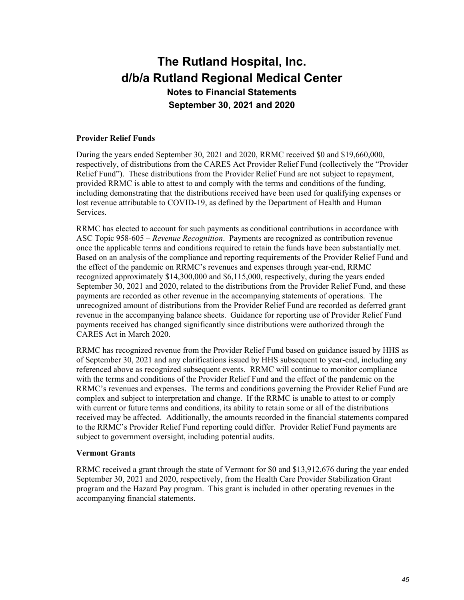#### **Provider Relief Funds**

During the years ended September 30, 2021 and 2020, RRMC received \$0 and \$19,660,000, respectively, of distributions from the CARES Act Provider Relief Fund (collectively the "Provider Relief Fund"). These distributions from the Provider Relief Fund are not subject to repayment, provided RRMC is able to attest to and comply with the terms and conditions of the funding, including demonstrating that the distributions received have been used for qualifying expenses or lost revenue attributable to COVID-19, as defined by the Department of Health and Human Services.

RRMC has elected to account for such payments as conditional contributions in accordance with ASC Topic 958-605 – *Revenue Recognition*. Payments are recognized as contribution revenue once the applicable terms and conditions required to retain the funds have been substantially met. Based on an analysis of the compliance and reporting requirements of the Provider Relief Fund and the effect of the pandemic on RRMC's revenues and expenses through year-end, RRMC recognized approximately \$14,300,000 and \$6,115,000, respectively, during the years ended September 30, 2021 and 2020, related to the distributions from the Provider Relief Fund, and these payments are recorded as other revenue in the accompanying statements of operations. The unrecognized amount of distributions from the Provider Relief Fund are recorded as deferred grant revenue in the accompanying balance sheets. Guidance for reporting use of Provider Relief Fund payments received has changed significantly since distributions were authorized through the CARES Act in March 2020.

RRMC has recognized revenue from the Provider Relief Fund based on guidance issued by HHS as of September 30, 2021 and any clarifications issued by HHS subsequent to year-end, including any referenced above as recognized subsequent events. RRMC will continue to monitor compliance with the terms and conditions of the Provider Relief Fund and the effect of the pandemic on the RRMC's revenues and expenses. The terms and conditions governing the Provider Relief Fund are complex and subject to interpretation and change. If the RRMC is unable to attest to or comply with current or future terms and conditions, its ability to retain some or all of the distributions received may be affected. Additionally, the amounts recorded in the financial statements compared to the RRMC's Provider Relief Fund reporting could differ. Provider Relief Fund payments are subject to government oversight, including potential audits.

#### **Vermont Grants**

RRMC received a grant through the state of Vermont for \$0 and \$13,912,676 during the year ended September 30, 2021 and 2020, respectively, from the Health Care Provider Stabilization Grant program and the Hazard Pay program. This grant is included in other operating revenues in the accompanying financial statements.